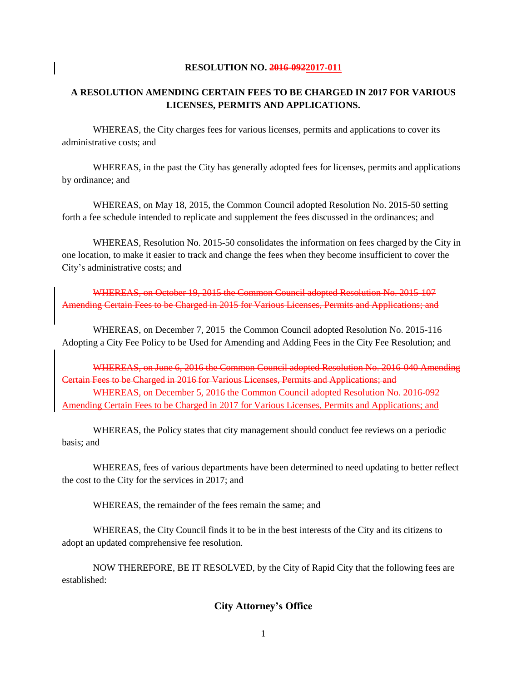#### **RESOLUTION NO. 2016-0922017-011**

### **A RESOLUTION AMENDING CERTAIN FEES TO BE CHARGED IN 2017 FOR VARIOUS LICENSES, PERMITS AND APPLICATIONS.**

WHEREAS, the City charges fees for various licenses, permits and applications to cover its administrative costs; and

WHEREAS, in the past the City has generally adopted fees for licenses, permits and applications by ordinance; and

WHEREAS, on May 18, 2015, the Common Council adopted Resolution No. 2015-50 setting forth a fee schedule intended to replicate and supplement the fees discussed in the ordinances; and

WHEREAS, Resolution No. 2015-50 consolidates the information on fees charged by the City in one location, to make it easier to track and change the fees when they become insufficient to cover the City's administrative costs; and

WHEREAS, on October 19, 2015 the Common Council adopted Resolution No. 2015-107 Amending Certain Fees to be Charged in 2015 for Various Licenses, Permits and Applications; and

WHEREAS, on December 7, 2015 the Common Council adopted Resolution No. 2015-116 Adopting a City Fee Policy to be Used for Amending and Adding Fees in the City Fee Resolution; and

WHEREAS, on June 6, 2016 the Common Council adopted Resolution No. 2016-040 Amending Certain Fees to be Charged in 2016 for Various Licenses, Permits and Applications; and WHEREAS, on December 5, 2016 the Common Council adopted Resolution No. 2016-092 Amending Certain Fees to be Charged in 2017 for Various Licenses, Permits and Applications; and

WHEREAS, the Policy states that city management should conduct fee reviews on a periodic basis; and

WHEREAS, fees of various departments have been determined to need updating to better reflect the cost to the City for the services in 2017; and

WHEREAS, the remainder of the fees remain the same; and

WHEREAS, the City Council finds it to be in the best interests of the City and its citizens to adopt an updated comprehensive fee resolution.

NOW THEREFORE, BE IT RESOLVED, by the City of Rapid City that the following fees are established:

### **City Attorney's Office**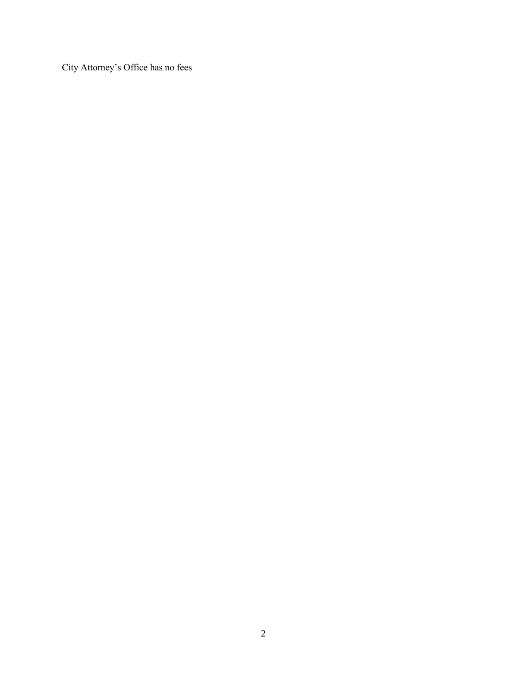City Attorney's Office has no fees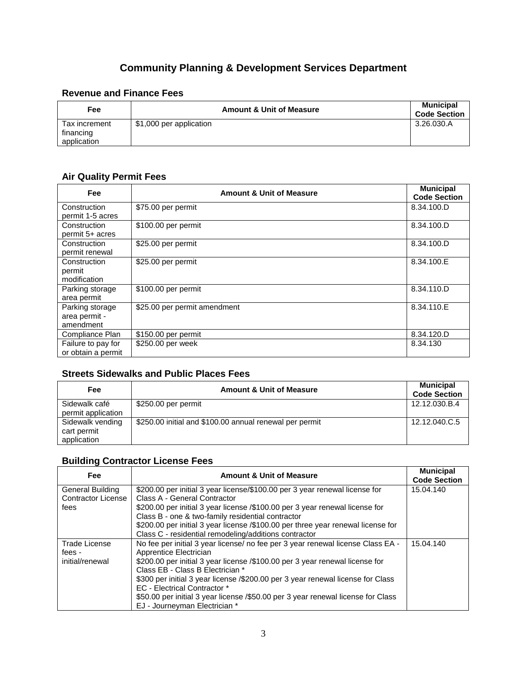# **Community Planning & Development Services Department**

### **Revenue and Finance Fees**

| Fee                                       | <b>Amount &amp; Unit of Measure</b> | <b>Municipal</b><br><b>Code Section</b> |
|-------------------------------------------|-------------------------------------|-----------------------------------------|
| Tax increment<br>financing<br>application | \$1,000 per application             | 3.26.030.A                              |

### **Air Quality Permit Fees**

| Fee                                           | <b>Amount &amp; Unit of Measure</b> | <b>Municipal</b><br><b>Code Section</b> |
|-----------------------------------------------|-------------------------------------|-----------------------------------------|
| Construction<br>permit 1-5 acres              | \$75.00 per permit                  | 8.34.100.D                              |
| Construction<br>permit 5+ acres               | \$100.00 per permit                 | 8.34.100.D                              |
| Construction<br>permit renewal                | \$25.00 per permit                  | 8.34.100.D                              |
| Construction<br>permit<br>modification        | \$25.00 per permit                  | 8.34.100.E                              |
| Parking storage<br>area permit                | \$100.00 per permit                 | 8.34.110.D                              |
| Parking storage<br>area permit -<br>amendment | \$25.00 per permit amendment        | 8.34.110.E                              |
| Compliance Plan                               | \$150.00 per permit                 | 8.34.120.D                              |
| Failure to pay for<br>or obtain a permit      | \$250.00 per week                   | 8.34.130                                |

# **Streets Sidewalks and Public Places Fees**

| Fee                                            | <b>Amount &amp; Unit of Measure</b>                     | <b>Municipal</b><br><b>Code Section</b> |
|------------------------------------------------|---------------------------------------------------------|-----------------------------------------|
| Sidewalk café<br>permit application            | \$250.00 per permit                                     | 12.12.030.B.4                           |
| Sidewalk vending<br>cart permit<br>application | \$250.00 initial and \$100.00 annual renewal per permit | 12.12.040.C.5                           |

### **Building Contractor License Fees**

| Fee                       | <b>Amount &amp; Unit of Measure</b>                                              | <b>Municipal</b><br><b>Code Section</b> |
|---------------------------|----------------------------------------------------------------------------------|-----------------------------------------|
| General Building          | \$200.00 per initial 3 year license/\$100.00 per 3 year renewal license for      | 15.04.140                               |
| <b>Contractor License</b> | Class A - General Contractor                                                     |                                         |
| fees                      | \$200.00 per initial 3 year license /\$100.00 per 3 year renewal license for     |                                         |
|                           | Class B - one & two-family residential contractor                                |                                         |
|                           | \$200.00 per initial 3 year license /\$100.00 per three year renewal license for |                                         |
|                           | Class C - residential remodeling/additions contractor                            |                                         |
| <b>Trade License</b>      | No fee per initial 3 year license/ no fee per 3 year renewal license Class EA -  | 15.04.140                               |
| fees -                    | Apprentice Electrician                                                           |                                         |
| initial/renewal           | \$200.00 per initial 3 year license /\$100.00 per 3 year renewal license for     |                                         |
|                           | Class EB - Class B Electrician *                                                 |                                         |
|                           | \$300 per initial 3 year license /\$200.00 per 3 year renewal license for Class  |                                         |
|                           | <b>EC</b> - Electrical Contractor *                                              |                                         |
|                           | \$50.00 per initial 3 year license /\$50.00 per 3 year renewal license for Class |                                         |
|                           | EJ - Journeyman Electrician *                                                    |                                         |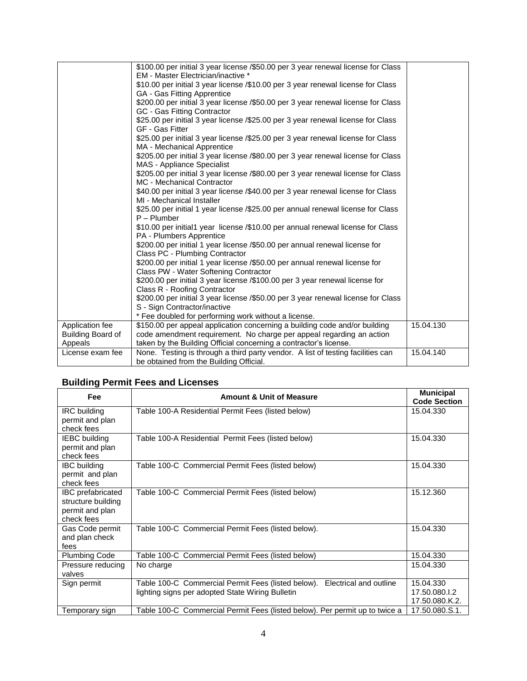|                   | \$100.00 per initial 3 year license /\$50.00 per 3 year renewal license for Class                                      |           |
|-------------------|------------------------------------------------------------------------------------------------------------------------|-----------|
|                   | EM - Master Electrician/inactive *                                                                                     |           |
|                   | \$10.00 per initial 3 year license /\$10.00 per 3 year renewal license for Class                                       |           |
|                   | GA - Gas Fitting Apprentice                                                                                            |           |
|                   | \$200.00 per initial 3 year license /\$50.00 per 3 year renewal license for Class                                      |           |
|                   | GC - Gas Fitting Contractor                                                                                            |           |
|                   | \$25.00 per initial 3 year license /\$25.00 per 3 year renewal license for Class                                       |           |
|                   | GF - Gas Fitter                                                                                                        |           |
|                   | \$25.00 per initial 3 year license /\$25.00 per 3 year renewal license for Class                                       |           |
|                   | MA - Mechanical Apprentice                                                                                             |           |
|                   | \$205.00 per initial 3 year license /\$80.00 per 3 year renewal license for Class<br><b>MAS</b> - Appliance Specialist |           |
|                   | \$205.00 per initial 3 year license /\$80.00 per 3 year renewal license for Class                                      |           |
|                   | <b>MC</b> - Mechanical Contractor                                                                                      |           |
|                   | \$40.00 per initial 3 year license /\$40.00 per 3 year renewal license for Class                                       |           |
|                   | MI - Mechanical Installer                                                                                              |           |
|                   | \$25.00 per initial 1 year license /\$25.00 per annual renewal license for Class                                       |           |
|                   | $P - Plumber$                                                                                                          |           |
|                   | \$10.00 per initial1 year license /\$10.00 per annual renewal license for Class                                        |           |
|                   | PA - Plumbers Apprentice                                                                                               |           |
|                   | \$200.00 per initial 1 year license /\$50.00 per annual renewal license for                                            |           |
|                   | Class PC - Plumbing Contractor                                                                                         |           |
|                   | \$200.00 per initial 1 year license /\$50.00 per annual renewal license for                                            |           |
|                   | Class PW - Water Softening Contractor                                                                                  |           |
|                   | \$200.00 per initial 3 year license /\$100.00 per 3 year renewal license for                                           |           |
|                   | Class R - Roofing Contractor                                                                                           |           |
|                   | \$200.00 per initial 3 year license /\$50.00 per 3 year renewal license for Class                                      |           |
|                   | S - Sign Contractor/inactive                                                                                           |           |
|                   | * Fee doubled for performing work without a license.                                                                   |           |
| Application fee   | \$150.00 per appeal application concerning a building code and/or building                                             | 15.04.130 |
| Building Board of | code amendment requirement. No charge per appeal regarding an action                                                   |           |
| Appeals           | taken by the Building Official concerning a contractor's license.                                                      |           |
| License exam fee  | None. Testing is through a third party vendor. A list of testing facilities can                                        | 15.04.140 |
|                   | be obtained from the Building Official.                                                                                |           |

# **Building Permit Fees and Licenses**

| Fee                                                                             | <b>Amount &amp; Unit of Measure</b>                                                                                              | <b>Municipal</b><br><b>Code Section</b>      |
|---------------------------------------------------------------------------------|----------------------------------------------------------------------------------------------------------------------------------|----------------------------------------------|
| <b>IRC</b> building<br>permit and plan<br>check fees                            | Table 100-A Residential Permit Fees (listed below)                                                                               | 15.04.330                                    |
| <b>IEBC</b> building<br>permit and plan<br>check fees                           | Table 100-A Residential Permit Fees (listed below)                                                                               | 15.04.330                                    |
| <b>IBC</b> building<br>permit and plan<br>check fees                            | Table 100-C Commercial Permit Fees (listed below)                                                                                | 15.04.330                                    |
| <b>IBC</b> prefabricated<br>structure building<br>permit and plan<br>check fees | Table 100-C Commercial Permit Fees (listed below)                                                                                | 15.12.360                                    |
| Gas Code permit<br>and plan check<br>fees                                       | Table 100-C Commercial Permit Fees (listed below).                                                                               | 15.04.330                                    |
| <b>Plumbing Code</b>                                                            | Table 100-C Commercial Permit Fees (listed below)                                                                                | 15.04.330                                    |
| Pressure reducing<br>valves                                                     | No charge                                                                                                                        | 15.04.330                                    |
| Sign permit                                                                     | Table 100-C Commercial Permit Fees (listed below).<br>Electrical and outline<br>lighting signs per adopted State Wiring Bulletin | 15.04.330<br>17.50.080.I.2<br>17.50.080.K.2. |
| Temporary sign                                                                  | Table 100-C Commercial Permit Fees (listed below). Per permit up to twice a                                                      | 17.50.080.S.1.                               |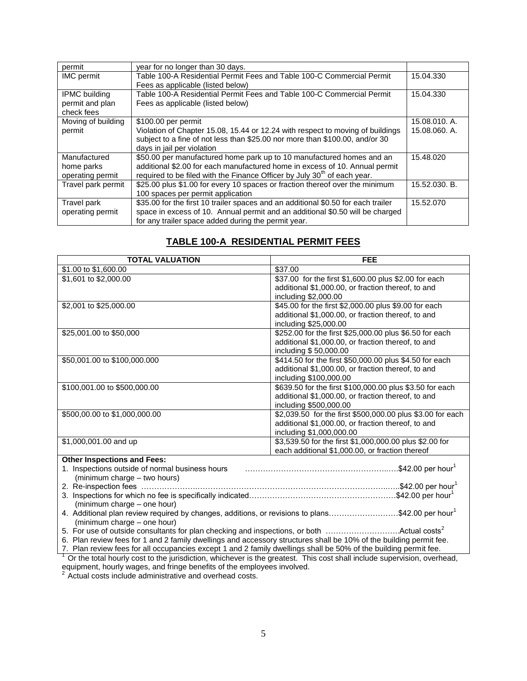| permit                                                | year for no longer than 30 days.                                                                                                                                                                                                   |                                |
|-------------------------------------------------------|------------------------------------------------------------------------------------------------------------------------------------------------------------------------------------------------------------------------------------|--------------------------------|
| <b>IMC</b> permit                                     | Table 100-A Residential Permit Fees and Table 100-C Commercial Permit<br>Fees as applicable (listed below)                                                                                                                         | 15.04.330                      |
| <b>IPMC building</b><br>permit and plan<br>check fees | Table 100-A Residential Permit Fees and Table 100-C Commercial Permit<br>Fees as applicable (listed below)                                                                                                                         | 15.04.330                      |
| Moving of building<br>permit                          | \$100.00 per permit<br>Violation of Chapter 15.08, 15.44 or 12.24 with respect to moving of buildings<br>subject to a fine of not less than \$25.00 nor more than \$100.00, and/or 30<br>days in jail per violation                | 15.08.010. A.<br>15.08.060. A. |
| Manufactured<br>home parks<br>operating permit        | \$50.00 per manufactured home park up to 10 manufactured homes and an<br>additional \$2.00 for each manufactured home in excess of 10. Annual permit<br>required to be filed with the Finance Officer by July $30th$ of each year. | 15.48.020                      |
| Travel park permit                                    | \$25.00 plus \$1.00 for every 10 spaces or fraction thereof over the minimum<br>100 spaces per permit application                                                                                                                  | 15.52.030. B.                  |
| Travel park<br>operating permit                       | \$35.00 for the first 10 trailer spaces and an additional \$0.50 for each trailer<br>space in excess of 10. Annual permit and an additional \$0.50 will be charged<br>for any trailer space added during the permit year.          | 15.52.070                      |

### **TABLE 100-A RESIDENTIAL PERMIT FEES**

| <b>TOTAL VALUATION</b>                                                                                                  | <b>FEE</b>                                                 |
|-------------------------------------------------------------------------------------------------------------------------|------------------------------------------------------------|
| \$1.00 to \$1,600.00                                                                                                    | \$37.00                                                    |
| \$1,601 to \$2,000.00                                                                                                   | \$37.00 for the first \$1,600.00 plus \$2.00 for each      |
|                                                                                                                         | additional \$1,000.00, or fraction thereof, to and         |
|                                                                                                                         | including \$2,000.00                                       |
| \$2,001 to \$25,000.00                                                                                                  | \$45.00 for the first \$2,000.00 plus \$9.00 for each      |
|                                                                                                                         | additional \$1,000.00, or fraction thereof, to and         |
|                                                                                                                         | including \$25,000.00                                      |
| \$25,001.00 to \$50,000                                                                                                 | \$252.00 for the first \$25,000.00 plus \$6.50 for each    |
|                                                                                                                         | additional \$1,000.00, or fraction thereof, to and         |
|                                                                                                                         | including \$50,000.00                                      |
| \$50,001.00 to \$100,000.000                                                                                            | \$414.50 for the first \$50,000.00 plus \$4.50 for each    |
|                                                                                                                         | additional \$1,000.00, or fraction thereof, to and         |
|                                                                                                                         | including \$100,000.00                                     |
| \$100,001.00 to \$500,000.00                                                                                            | \$639.50 for the first \$100,000.00 plus \$3.50 for each   |
|                                                                                                                         | additional \$1,000.00, or fraction thereof, to and         |
|                                                                                                                         | including \$500,000.00                                     |
| \$500,00.00 to \$1,000,000.00                                                                                           | \$2,039.50 for the first \$500,000.00 plus \$3.00 for each |
|                                                                                                                         | additional \$1,000.00, or fraction thereof, to and         |
|                                                                                                                         | including \$1,000,000.00                                   |
| \$1,000,001.00 and up                                                                                                   | \$3,539.50 for the first \$1,000,000.00 plus \$2.00 for    |
|                                                                                                                         | each additional \$1,000.00, or fraction thereof            |
| <b>Other Inspections and Fees:</b>                                                                                      |                                                            |
| 1. Inspections outside of normal business hours                                                                         |                                                            |
| (minimum charge - two hours)                                                                                            |                                                            |
|                                                                                                                         |                                                            |
| (minimum charge - one hour)                                                                                             |                                                            |
| 4. Additional plan review required by changes, additions, or revisions to plans\$42.00 per hour <sup>1</sup>            |                                                            |
| (minimum charge – one hour)                                                                                             |                                                            |
| 5. For use of outside consultants for plan checking and inspections, or both Actual costs <sup>2</sup>                  |                                                            |
| 6. Plan review fees for 1 and 2 family dwellings and accessory structures shall be 10% of the building permit fee.      |                                                            |
| 7. Plan review fees for all occupancies except 1 and 2 family dwellings shall be 50% of the building permit fee.        |                                                            |
| Or the total hourly cost to the jurisdiction, whichever is the greatest. This cost shall include supervision, overhead, |                                                            |

equipment, hourly wages, and fringe benefits of the employees involved.

 $2$  Actual costs include administrative and overhead costs.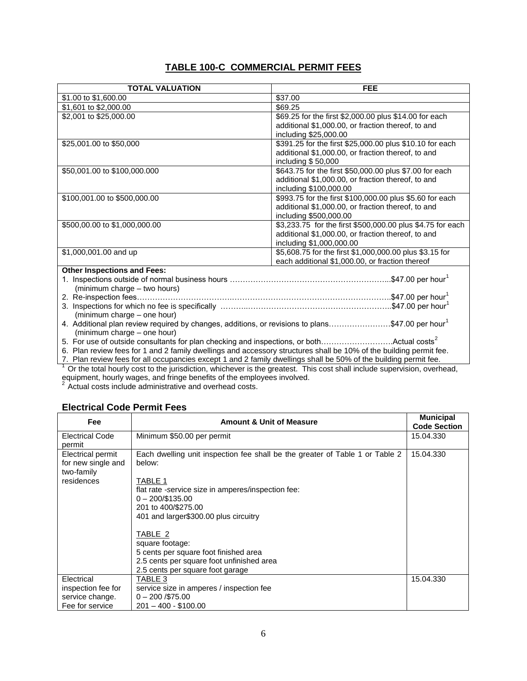### **TABLE 100-C COMMERCIAL PERMIT FEES**

| <b>TOTAL VALUATION</b>                                                                                             | <b>FEE</b>                                                 |
|--------------------------------------------------------------------------------------------------------------------|------------------------------------------------------------|
| \$1.00 to \$1,600.00                                                                                               | \$37.00                                                    |
| \$1,601 to \$2,000.00                                                                                              | \$69.25                                                    |
| \$2,001 to \$25,000.00                                                                                             | \$69.25 for the first \$2,000.00 plus \$14.00 for each     |
|                                                                                                                    | additional \$1,000.00, or fraction thereof, to and         |
|                                                                                                                    | including \$25,000.00                                      |
| \$25,001.00 to \$50,000                                                                                            | \$391.25 for the first \$25,000.00 plus \$10.10 for each   |
|                                                                                                                    | additional \$1,000.00, or fraction thereof, to and         |
|                                                                                                                    | including $$50,000$                                        |
| \$50,001.00 to \$100,000.000                                                                                       | \$643.75 for the first \$50,000.00 plus \$7.00 for each    |
|                                                                                                                    | additional \$1,000.00, or fraction thereof, to and         |
|                                                                                                                    | including \$100,000.00                                     |
| \$100,001.00 to \$500,000.00                                                                                       | \$993.75 for the first \$100,000.00 plus \$5.60 for each   |
|                                                                                                                    | additional \$1,000.00, or fraction thereof, to and         |
|                                                                                                                    | including \$500,000.00                                     |
| \$500,00.00 to \$1,000,000.00                                                                                      | \$3,233.75 for the first \$500,000.00 plus \$4.75 for each |
|                                                                                                                    | additional \$1,000.00, or fraction thereof, to and         |
|                                                                                                                    | including \$1,000,000.00                                   |
| \$1,000,001.00 and up                                                                                              | \$5,608.75 for the first \$1,000,000.00 plus \$3.15 for    |
|                                                                                                                    | each additional \$1,000.00, or fraction thereof            |
| <b>Other Inspections and Fees:</b>                                                                                 |                                                            |
|                                                                                                                    |                                                            |
| (minimum charge - two hours)                                                                                       |                                                            |
|                                                                                                                    |                                                            |
| (minimum charge - one hour)                                                                                        |                                                            |
| 4. Additional plan review required by changes, additions, or revisions to plans\$47.00 per hour <sup>1</sup>       |                                                            |
| (minimum charge - one hour)                                                                                        |                                                            |
| 5. For use of outside consultants for plan checking and inspections, or bothActual costs <sup>2</sup>              |                                                            |
| 6. Plan review fees for 1 and 2 family dwellings and accessory structures shall be 10% of the building permit fee. |                                                            |
| 7. Plan review fees for all occupancies except 1 and 2 family dwellings shall be 50% of the building permit fee.   |                                                            |

 $1$  Or the total hourly cost to the jurisdiction, whichever is the greatest. This cost shall include supervision, overhead, equipment, hourly wages, and fringe benefits of the employees involved.

 $2$  Actual costs include administrative and overhead costs.

### **Electrical Code Permit Fees**

| Fee                                                                        | <b>Amount &amp; Unit of Measure</b>                                                                                                                                                                                                                                                                                                                                                                 | <b>Municipal</b><br><b>Code Section</b> |
|----------------------------------------------------------------------------|-----------------------------------------------------------------------------------------------------------------------------------------------------------------------------------------------------------------------------------------------------------------------------------------------------------------------------------------------------------------------------------------------------|-----------------------------------------|
| <b>Electrical Code</b><br>permit                                           | Minimum \$50.00 per permit                                                                                                                                                                                                                                                                                                                                                                          | 15.04.330                               |
| <b>Electrical permit</b><br>for new single and<br>two-family<br>residences | Each dwelling unit inspection fee shall be the greater of Table 1 or Table 2<br>below:<br>TABLE 1<br>flat rate -service size in amperes/inspection fee:<br>$0 - 200/135.00$<br>201 to 400/\$275.00<br>401 and larger\$300.00 plus circuitry<br>TABLE 2<br>square footage:<br>5 cents per square foot finished area<br>2.5 cents per square foot unfinished area<br>2.5 cents per square foot garage | 15.04.330                               |
| Electrical<br>inspection fee for<br>service change.<br>Fee for service     | TABLE 3<br>service size in amperes / inspection fee<br>$0 - 200 / $75.00$<br>$201 - 400 - $100.00$                                                                                                                                                                                                                                                                                                  | 15.04.330                               |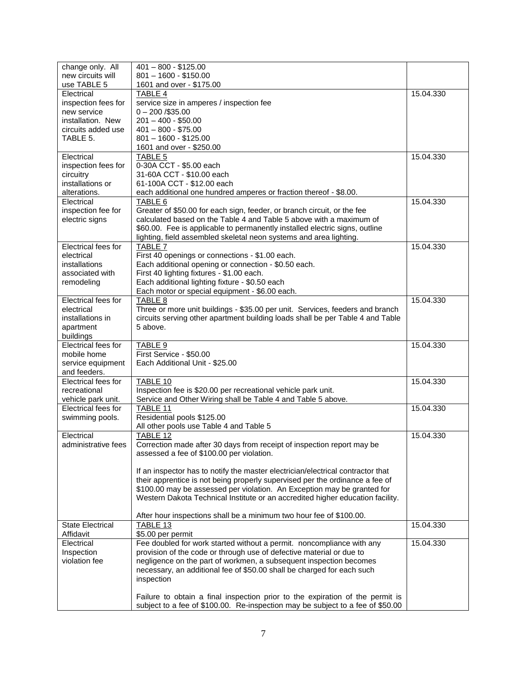| change only. All        | $401 - 800 - $125.00$                                                           |           |
|-------------------------|---------------------------------------------------------------------------------|-----------|
| new circuits will       | $801 - 1600 - $150.00$                                                          |           |
| use TABLE 5             | 1601 and over - \$175.00                                                        |           |
| Electrical              | <b>TABLE 4</b>                                                                  | 15.04.330 |
| inspection fees for     | service size in amperes / inspection fee                                        |           |
| new service             | $0 - 200 / $35.00$                                                              |           |
| installation. New       | $201 - 400 - $50.00$                                                            |           |
| circuits added use      | $401 - 800 - $75.00$                                                            |           |
| TABLE 5.                | $801 - 1600 - $125.00$                                                          |           |
|                         | 1601 and over - \$250.00                                                        |           |
| Electrical              | TABLE 5                                                                         | 15.04.330 |
| inspection fees for     | 0-30A CCT - \$5.00 each                                                         |           |
| circuitry               | 31-60A CCT - \$10.00 each                                                       |           |
| installations or        | 61-100A CCT - \$12.00 each                                                      |           |
| alterations.            | each additional one hundred amperes or fraction thereof - \$8.00.               |           |
| Electrical              | TABLE 6                                                                         | 15.04.330 |
| inspection fee for      | Greater of \$50.00 for each sign, feeder, or branch circuit, or the fee         |           |
| electric signs          | calculated based on the Table 4 and Table 5 above with a maximum of             |           |
|                         | \$60.00. Fee is applicable to permanently installed electric signs, outline     |           |
|                         | lighting, field assembled skeletal neon systems and area lighting.              |           |
| Electrical fees for     | TABLE 7                                                                         | 15.04.330 |
| electrical              | First 40 openings or connections - \$1.00 each.                                 |           |
| installations           | Each additional opening or connection - \$0.50 each.                            |           |
| associated with         | First 40 lighting fixtures - \$1.00 each.                                       |           |
| remodeling              | Each additional lighting fixture - \$0.50 each                                  |           |
|                         | Each motor or special equipment - \$6.00 each.                                  |           |
| Electrical fees for     | TABLE 8                                                                         | 15.04.330 |
| electrical              | Three or more unit buildings - \$35.00 per unit. Services, feeders and branch   |           |
| installations in        | circuits serving other apartment building loads shall be per Table 4 and Table  |           |
| apartment               | 5 above.                                                                        |           |
| buildings               |                                                                                 |           |
| Electrical fees for     | TABLE 9                                                                         | 15.04.330 |
| mobile home             | First Service - \$50.00                                                         |           |
| service equipment       | Each Additional Unit - \$25.00                                                  |           |
| and feeders.            |                                                                                 |           |
| Electrical fees for     | TABLE 10                                                                        | 15.04.330 |
| recreational            | Inspection fee is \$20.00 per recreational vehicle park unit.                   |           |
| vehicle park unit.      | Service and Other Wiring shall be Table 4 and Table 5 above.                    |           |
| Electrical fees for     | TABLE 11                                                                        | 15.04.330 |
| swimming pools.         | Residential pools \$125.00                                                      |           |
|                         | All other pools use Table 4 and Table 5                                         |           |
| Electrical              | TABLE 12                                                                        | 15.04.330 |
| administrative fees     | Correction made after 30 days from receipt of inspection report may be          |           |
|                         | assessed a fee of \$100.00 per violation.                                       |           |
|                         |                                                                                 |           |
|                         | If an inspector has to notify the master electrician/electrical contractor that |           |
|                         | their apprentice is not being properly supervised per the ordinance a fee of    |           |
|                         | \$100.00 may be assessed per violation. An Exception may be granted for         |           |
|                         | Western Dakota Technical Institute or an accredited higher education facility.  |           |
|                         |                                                                                 |           |
|                         | After hour inspections shall be a minimum two hour fee of \$100.00.             |           |
| <b>State Electrical</b> | TABLE 13                                                                        | 15.04.330 |
| Affidavit               | \$5.00 per permit                                                               |           |
| Electrical              | Fee doubled for work started without a permit. noncompliance with any           | 15.04.330 |
| Inspection              | provision of the code or through use of defective material or due to            |           |
| violation fee           | negligence on the part of workmen, a subsequent inspection becomes              |           |
|                         | necessary, an additional fee of \$50.00 shall be charged for each such          |           |
|                         | inspection                                                                      |           |
|                         |                                                                                 |           |
|                         | Failure to obtain a final inspection prior to the expiration of the permit is   |           |
|                         | subject to a fee of \$100.00. Re-inspection may be subject to a fee of \$50.00  |           |
|                         |                                                                                 |           |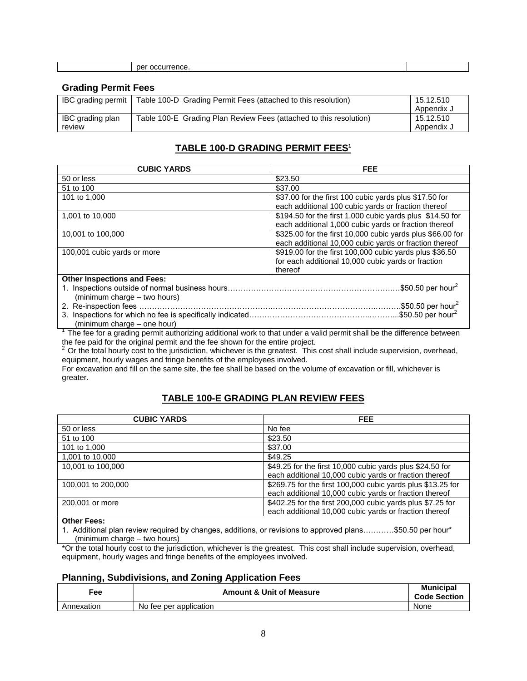|  |  | . מר<br>м |  |
|--|--|-----------|--|
|--|--|-----------|--|

#### **Grading Permit Fees**

| <b>IBC</b> grading permit  | Table 100-D Grading Permit Fees (attached to this resolution)      | 15.12.510<br>Appendix J |
|----------------------------|--------------------------------------------------------------------|-------------------------|
| IBC grading plan<br>review | Table 100-E Grading Plan Review Fees (attached to this resolution) | 15.12.510<br>Appendix J |

### **TABLE 100-D GRADING PERMIT FEES<sup>1</sup>**

| <b>CUBIC YARDS</b>                 | <b>FEE</b>                                                 |
|------------------------------------|------------------------------------------------------------|
| 50 or less                         | \$23.50                                                    |
| 51 to 100                          | \$37.00                                                    |
| 101 to 1,000                       | \$37.00 for the first 100 cubic yards plus \$17.50 for     |
|                                    | each additional 100 cubic yards or fraction thereof        |
| 1,001 to 10,000                    | \$194.50 for the first 1,000 cubic yards plus \$14.50 for  |
|                                    | each additional 1,000 cubic yards or fraction thereof      |
| 10,001 to 100,000                  | \$325.00 for the first 10,000 cubic yards plus \$66.00 for |
|                                    | each additional 10,000 cubic yards or fraction thereof     |
| 100,001 cubic yards or more        | \$919.00 for the first 100,000 cubic yards plus \$36.50    |
|                                    | for each additional 10,000 cubic yards or fraction         |
|                                    | thereof                                                    |
| <b>Other Inspections and Fees:</b> |                                                            |
|                                    | .\$50.50 per hour <sup>2</sup>                             |
| (minimum charge – two hours)       |                                                            |
|                                    | \$50.50 per hour <sup>2</sup>                              |
|                                    | $$50.50$ per hour <sup>2</sup>                             |
| (minimum charge – one hour)        |                                                            |

<sup>1</sup>The fee for a grading permit authorizing additional work to that under a valid permit shall be the difference between the fee paid for the original permit and the fee shown for the entire project.

<sup>2</sup>Or the total hourly cost to the jurisdiction, whichever is the greatest. This cost shall include supervision, overhead, equipment, hourly wages and fringe benefits of the employees involved.

For excavation and fill on the same site, the fee shall be based on the volume of excavation or fill, whichever is greater.

### **TABLE 100-E GRADING PLAN REVIEW FEES**

| <b>CUBIC YARDS</b> | <b>FEE</b>                                                                                                            |
|--------------------|-----------------------------------------------------------------------------------------------------------------------|
| 50 or less         | No fee                                                                                                                |
| 51 to 100          | \$23.50                                                                                                               |
| 101 to 1,000       | \$37.00                                                                                                               |
| 1,001 to 10,000    | \$49.25                                                                                                               |
| 10,001 to 100,000  | \$49.25 for the first 10,000 cubic yards plus \$24.50 for<br>each additional 10,000 cubic yards or fraction thereof   |
| 100,001 to 200,000 | \$269.75 for the first 100,000 cubic yards plus \$13.25 for<br>each additional 10,000 cubic yards or fraction thereof |
| 200,001 or more    | \$402.25 for the first 200,000 cubic yards plus \$7.25 for<br>each additional 10,000 cubic yards or fraction thereof  |
| Other Feast        |                                                                                                                       |

**Other Fees:**

1. Additional plan review required by changes, additions, or revisions to approved plans…………\$50.50 per hour\* (minimum charge – two hours)

\*Or the total hourly cost to the jurisdiction, whichever is the greatest. This cost shall include supervision, overhead, equipment, hourly wages and fringe benefits of the employees involved.

### **Planning, Subdivisions, and Zoning Application Fees**

| Fe <sub>e</sub> | <b>Amount &amp; Unit of Measure</b> | <b>Municipal</b><br><b>Code Section</b> |
|-----------------|-------------------------------------|-----------------------------------------|
| Annexation      | No fee per application              | None                                    |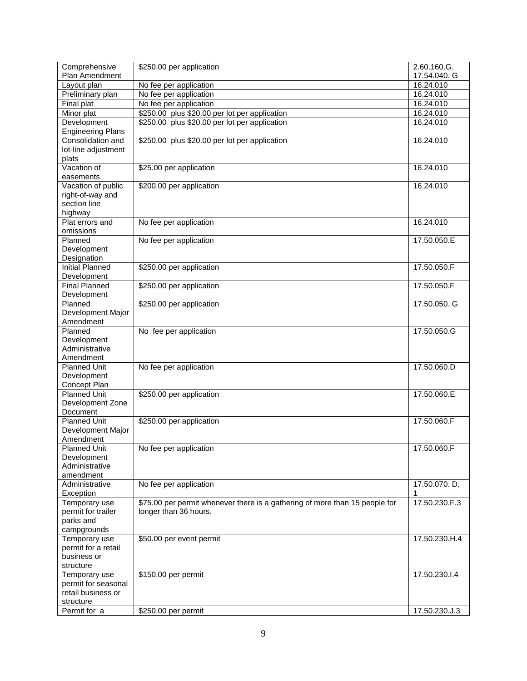| Comprehensive                             | \$250.00 per application                                                    | 2.60.160.G.   |
|-------------------------------------------|-----------------------------------------------------------------------------|---------------|
| Plan Amendment                            |                                                                             | 17.54.040. G  |
| Layout plan                               | No fee per application                                                      | 16.24.010     |
| Preliminary plan                          | No fee per application                                                      | 16.24.010     |
| Final plat                                | No fee per application                                                      | 16.24.010     |
| Minor plat                                | \$250.00 plus \$20.00 per lot per application                               | 16.24.010     |
| Development                               | \$250.00 plus \$20.00 per lot per application                               | 16.24.010     |
| <b>Engineering Plans</b>                  |                                                                             |               |
| Consolidation and                         | \$250.00 plus \$20.00 per lot per application                               | 16.24.010     |
| lot-line adjustment                       |                                                                             |               |
| plats                                     |                                                                             |               |
| Vacation of                               | \$25.00 per application                                                     | 16.24.010     |
| easements                                 |                                                                             |               |
| Vacation of public                        | \$200.00 per application                                                    | 16.24.010     |
| right-of-way and                          |                                                                             |               |
| section line                              |                                                                             |               |
| highway                                   |                                                                             |               |
| Plat errors and                           | No fee per application                                                      | 16.24.010     |
| omissions                                 |                                                                             |               |
| Planned                                   | No fee per application                                                      | 17.50.050.E   |
| Development                               |                                                                             |               |
| Designation                               |                                                                             |               |
| <b>Initial Planned</b>                    | \$250.00 per application                                                    | 17.50.050.F   |
| Development                               |                                                                             |               |
| <b>Final Planned</b>                      | \$250.00 per application                                                    | 17.50.050.F   |
| Development                               |                                                                             |               |
| Planned                                   | \$250.00 per application                                                    | 17.50.050. G  |
| Development Major                         |                                                                             |               |
| Amendment                                 |                                                                             |               |
| Planned                                   | No fee per application                                                      | 17.50.050.G   |
| Development                               |                                                                             |               |
| Administrative                            |                                                                             |               |
| Amendment                                 |                                                                             |               |
| <b>Planned Unit</b>                       | No fee per application                                                      | 17.50.060.D   |
| Development                               |                                                                             |               |
| Concept Plan                              |                                                                             |               |
| <b>Planned Unit</b>                       | \$250.00 per application                                                    | 17.50.060.E   |
| Development Zone                          |                                                                             |               |
| Document                                  |                                                                             |               |
| <b>Planned Unit</b>                       | \$250.00 per application                                                    | 17.50.060.F   |
| Development Major                         |                                                                             |               |
| Amendment                                 |                                                                             |               |
| <b>Planned Unit</b>                       | No fee per application                                                      | 17.50.060.F   |
| Development                               |                                                                             |               |
| Administrative                            |                                                                             |               |
| amendment                                 |                                                                             |               |
| Administrative                            | No fee per application                                                      | 17.50.070. D. |
| Exception                                 |                                                                             |               |
| Temporary use                             | \$75.00 per permit whenever there is a gathering of more than 15 people for | 17.50.230.F.3 |
| permit for trailer                        | longer than 36 hours.                                                       |               |
| parks and                                 |                                                                             |               |
| campgrounds                               |                                                                             |               |
| Temporary use                             | \$50.00 per event permit                                                    | 17.50.230.H.4 |
| permit for a retail                       |                                                                             |               |
| business or                               |                                                                             |               |
| structure                                 |                                                                             |               |
| Temporary use                             | \$150.00 per permit                                                         | 17.50.230.I.4 |
| permit for seasonal<br>retail business or |                                                                             |               |
|                                           |                                                                             |               |
| structure                                 |                                                                             |               |
| Permit for a                              | \$250.00 per permit                                                         | 17.50.230.J.3 |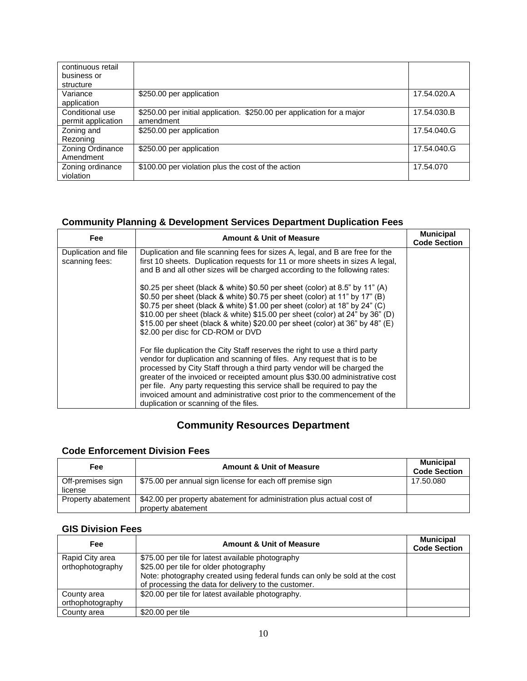| continuous retail<br>business or<br>structure |                                                                                     |             |
|-----------------------------------------------|-------------------------------------------------------------------------------------|-------------|
| Variance<br>application                       | \$250.00 per application                                                            | 17.54.020.A |
| Conditional use<br>permit application         | \$250.00 per initial application. \$250.00 per application for a major<br>amendment | 17.54.030.B |
| Zoning and<br>Rezoning                        | \$250.00 per application                                                            | 17.54.040.G |
| Zoning Ordinance<br>Amendment                 | \$250.00 per application                                                            | 17.54.040.G |
| Zoning ordinance<br>violation                 | \$100.00 per violation plus the cost of the action                                  | 17.54.070   |

### **Community Planning & Development Services Department Duplication Fees**

| Fee                                    | <b>Amount &amp; Unit of Measure</b>                                                                                                                                                                                                                                                                                                                                                                                                                                                                                 | <b>Municipal</b><br><b>Code Section</b> |
|----------------------------------------|---------------------------------------------------------------------------------------------------------------------------------------------------------------------------------------------------------------------------------------------------------------------------------------------------------------------------------------------------------------------------------------------------------------------------------------------------------------------------------------------------------------------|-----------------------------------------|
| Duplication and file<br>scanning fees: | Duplication and file scanning fees for sizes A, legal, and B are free for the<br>first 10 sheets. Duplication requests for 11 or more sheets in sizes A legal,<br>and B and all other sizes will be charged according to the following rates:                                                                                                                                                                                                                                                                       |                                         |
|                                        | \$0.25 per sheet (black & white) \$0.50 per sheet (color) at 8.5" by 11" (A)<br>\$0.50 per sheet (black & white) \$0.75 per sheet (color) at 11" by 17" (B)<br>\$0.75 per sheet (black & white) \$1.00 per sheet (color) at 18" by 24" (C)<br>\$10.00 per sheet (black & white) \$15.00 per sheet (color) at 24" by 36" (D)<br>\$15.00 per sheet (black & white) \$20.00 per sheet (color) at 36" by 48" (E)<br>\$2.00 per disc for CD-ROM or DVD                                                                   |                                         |
|                                        | For file duplication the City Staff reserves the right to use a third party<br>vendor for duplication and scanning of files. Any request that is to be<br>processed by City Staff through a third party vendor will be charged the<br>greater of the invoiced or receipted amount plus \$30.00 administrative cost<br>per file. Any party requesting this service shall be required to pay the<br>invoiced amount and administrative cost prior to the commencement of the<br>duplication or scanning of the files. |                                         |

# **Community Resources Department**

### **Code Enforcement Division Fees**

| Fee                          | <b>Amount &amp; Unit of Measure</b>                                                         | <b>Municipal</b><br><b>Code Section</b> |
|------------------------------|---------------------------------------------------------------------------------------------|-----------------------------------------|
| Off-premises sign<br>license | \$75.00 per annual sign license for each off premise sign                                   | 17.50.080                               |
| Property abatement           | \$42.00 per property abatement for administration plus actual cost of<br>property abatement |                                         |

### **GIS Division Fees**

| Fee              | <b>Amount &amp; Unit of Measure</b>                                        | <b>Municipal</b><br><b>Code Section</b> |
|------------------|----------------------------------------------------------------------------|-----------------------------------------|
| Rapid City area  | \$75.00 per tile for latest available photography                          |                                         |
| orthophotography | \$25.00 per tile for older photography                                     |                                         |
|                  | Note: photography created using federal funds can only be sold at the cost |                                         |
|                  | of processing the data for delivery to the customer.                       |                                         |
| County area      | \$20.00 per tile for latest available photography.                         |                                         |
| orthophotography |                                                                            |                                         |
| County area      | \$20.00 per tile                                                           |                                         |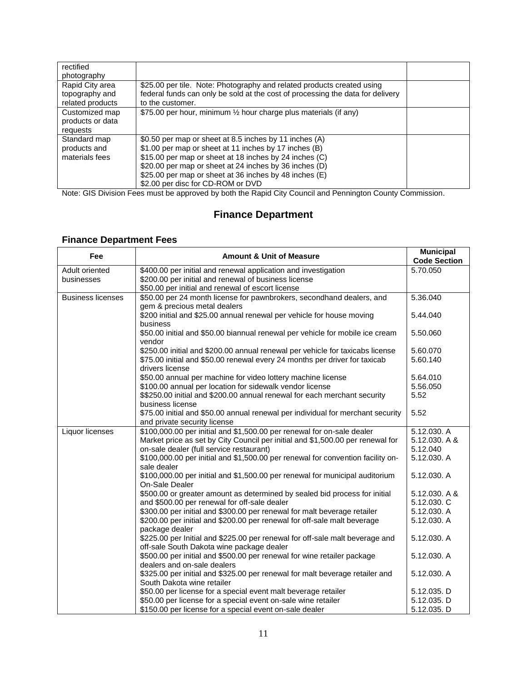| rectified<br>photography                              |                                                                                                                                                                                                                                                                                                                                    |  |
|-------------------------------------------------------|------------------------------------------------------------------------------------------------------------------------------------------------------------------------------------------------------------------------------------------------------------------------------------------------------------------------------------|--|
| Rapid City area<br>topography and<br>related products | \$25.00 per tile. Note: Photography and related products created using<br>federal funds can only be sold at the cost of processing the data for delivery<br>to the customer.                                                                                                                                                       |  |
| Customized map<br>products or data<br>requests        | \$75.00 per hour, minimum 1/2 hour charge plus materials (if any)                                                                                                                                                                                                                                                                  |  |
| Standard map<br>products and<br>materials fees        | \$0.50 per map or sheet at 8.5 inches by 11 inches (A)<br>\$1.00 per map or sheet at 11 inches by 17 inches (B)<br>\$15.00 per map or sheet at 18 inches by 24 inches (C)<br>\$20.00 per map or sheet at 24 inches by 36 inches (D)<br>\$25.00 per map or sheet at 36 inches by 48 inches (E)<br>\$2.00 per disc for CD-ROM or DVD |  |

Note: GIS Division Fees must be approved by both the Rapid City Council and Pennington County Commission.

# **Finance Department**

## **Finance Department Fees**

| Fee                      | <b>Amount &amp; Unit of Measure</b>                                                                                  | <b>Municipal</b><br><b>Code Section</b> |
|--------------------------|----------------------------------------------------------------------------------------------------------------------|-----------------------------------------|
| Adult oriented           | \$400.00 per initial and renewal application and investigation                                                       | 5.70.050                                |
| businesses               | \$200.00 per initial and renewal of business license                                                                 |                                         |
|                          | \$50.00 per initial and renewal of escort license                                                                    |                                         |
| <b>Business licenses</b> | \$50.00 per 24 month license for pawnbrokers, secondhand dealers, and                                                | 5.36.040                                |
|                          | gem & precious metal dealers<br>\$200 initial and \$25.00 annual renewal per vehicle for house moving<br>business    | 5.44.040                                |
|                          | \$50.00 initial and \$50.00 biannual renewal per vehicle for mobile ice cream<br>vendor                              | 5.50.060                                |
|                          | \$250.00 initial and \$200.00 annual renewal per vehicle for taxicabs license                                        | 5.60.070                                |
|                          | \$75.00 initial and \$50.00 renewal every 24 months per driver for taxicab<br>drivers license                        | 5.60.140                                |
|                          | \$50.00 annual per machine for video lottery machine license                                                         | 5.64.010                                |
|                          | \$100.00 annual per location for sidewalk vendor license                                                             | 5.56.050                                |
|                          | \$\$250.00 initial and \$200.00 annual renewal for each merchant security                                            | 5.52                                    |
|                          | business license<br>\$75.00 initial and \$50.00 annual renewal per individual for merchant security                  | 5.52                                    |
|                          | and private security license                                                                                         |                                         |
| Liquor licenses          | \$100,000.00 per initial and \$1,500.00 per renewal for on-sale dealer                                               | 5.12.030. A                             |
|                          | Market price as set by City Council per initial and \$1,500.00 per renewal for                                       | 5.12.030, A &                           |
|                          | on-sale dealer (full service restaurant)                                                                             | 5.12.040                                |
|                          | \$100,000.00 per initial and \$1,500.00 per renewal for convention facility on-<br>sale dealer                       | 5.12.030. A                             |
|                          | \$100,000.00 per initial and \$1,500.00 per renewal for municipal auditorium<br>On-Sale Dealer                       | 5.12.030. A                             |
|                          | \$500.00 or greater amount as determined by sealed bid process for initial                                           | 5.12.030. A &                           |
|                          | and \$500.00 per renewal for off-sale dealer                                                                         | 5.12.030. C                             |
|                          | \$300.00 per initial and \$300.00 per renewal for malt beverage retailer                                             | 5.12.030. A                             |
|                          | \$200.00 per initial and \$200.00 per renewal for off-sale malt beverage<br>package dealer                           | 5.12.030. A                             |
|                          | \$225.00 per Initial and \$225.00 per renewal for off-sale malt beverage and                                         | 5.12.030. A                             |
|                          | off-sale South Dakota wine package dealer<br>\$500.00 per initial and \$500.00 per renewal for wine retailer package | 5.12.030. A                             |
|                          | dealers and on-sale dealers                                                                                          |                                         |
|                          | \$325.00 per initial and \$325.00 per renewal for malt beverage retailer and<br>South Dakota wine retailer           | 5.12.030. A                             |
|                          | \$50.00 per license for a special event malt beverage retailer                                                       | 5.12.035. D                             |
|                          | \$50.00 per license for a special event on-sale wine retailer                                                        | 5.12.035. D                             |
|                          | \$150.00 per license for a special event on-sale dealer                                                              | 5.12.035. D                             |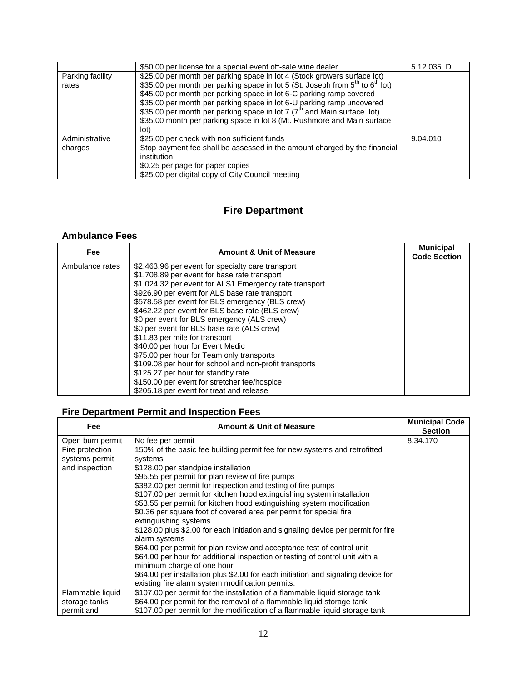|                           | \$50.00 per license for a special event off-sale wine dealer                                                                                                                                                                                                                                                                                                                                                                                                                                                | 5.12.035. D |
|---------------------------|-------------------------------------------------------------------------------------------------------------------------------------------------------------------------------------------------------------------------------------------------------------------------------------------------------------------------------------------------------------------------------------------------------------------------------------------------------------------------------------------------------------|-------------|
| Parking facility<br>rates | \$25.00 per month per parking space in lot 4 (Stock growers surface lot)<br>\$35.00 per month per parking space in lot 5 (St. Joseph from 5 <sup>th</sup> to 6 <sup>th</sup> lot)<br>\$45.00 per month per parking space in lot 6-C parking ramp covered<br>\$35.00 per month per parking space in lot 6-U parking ramp uncovered<br>\$35.00 per month per parking space in lot 7 (7 <sup>th</sup> and Main surface lot)<br>\$35.00 month per parking space in lot 8 (Mt. Rushmore and Main surface<br>lot) |             |
| Administrative<br>charges | \$25.00 per check with non sufficient funds<br>Stop payment fee shall be assessed in the amount charged by the financial<br>institution<br>\$0.25 per page for paper copies<br>\$25.00 per digital copy of City Council meeting                                                                                                                                                                                                                                                                             | 9.04.010    |

# **Fire Department**

#### **Ambulance Fees**

| <b>Fee</b>      | <b>Amount &amp; Unit of Measure</b>                    | <b>Municipal</b><br><b>Code Section</b> |
|-----------------|--------------------------------------------------------|-----------------------------------------|
| Ambulance rates | \$2,463.96 per event for specialty care transport      |                                         |
|                 | \$1,708.89 per event for base rate transport           |                                         |
|                 | \$1,024.32 per event for ALS1 Emergency rate transport |                                         |
|                 | \$926.90 per event for ALS base rate transport         |                                         |
|                 | \$578.58 per event for BLS emergency (BLS crew)        |                                         |
|                 | \$462.22 per event for BLS base rate (BLS crew)        |                                         |
|                 | \$0 per event for BLS emergency (ALS crew)             |                                         |
|                 | \$0 per event for BLS base rate (ALS crew)             |                                         |
|                 | \$11.83 per mile for transport                         |                                         |
|                 | \$40.00 per hour for Event Medic                       |                                         |
|                 | \$75.00 per hour for Team only transports              |                                         |
|                 | \$109.08 per hour for school and non-profit transports |                                         |
|                 | \$125.27 per hour for standby rate                     |                                         |
|                 | \$150.00 per event for stretcher fee/hospice           |                                         |
|                 | \$205.18 per event for treat and release               |                                         |

# **Fire Department Permit and Inspection Fees**

| Fee                                                 | <b>Amount &amp; Unit of Measure</b>                                                                                                                                                                                                                                                                                                                                                                                                                                                                                                                                                                                                                                                                                                                                                                                                                                                                                                      | <b>Municipal Code</b><br><b>Section</b> |
|-----------------------------------------------------|------------------------------------------------------------------------------------------------------------------------------------------------------------------------------------------------------------------------------------------------------------------------------------------------------------------------------------------------------------------------------------------------------------------------------------------------------------------------------------------------------------------------------------------------------------------------------------------------------------------------------------------------------------------------------------------------------------------------------------------------------------------------------------------------------------------------------------------------------------------------------------------------------------------------------------------|-----------------------------------------|
| Open burn permit                                    | No fee per permit                                                                                                                                                                                                                                                                                                                                                                                                                                                                                                                                                                                                                                                                                                                                                                                                                                                                                                                        | 8.34.170                                |
| Fire protection<br>systems permit<br>and inspection | 150% of the basic fee building permit fee for new systems and retrofitted<br>systems<br>\$128.00 per standpipe installation<br>\$95.55 per permit for plan review of fire pumps<br>\$382.00 per permit for inspection and testing of fire pumps<br>\$107.00 per permit for kitchen hood extinguishing system installation<br>\$53.55 per permit for kitchen hood extinguishing system modification<br>\$0.36 per square foot of covered area per permit for special fire<br>extinguishing systems<br>\$128.00 plus \$2.00 for each initiation and signaling device per permit for fire<br>alarm systems<br>\$64.00 per permit for plan review and acceptance test of control unit<br>\$64.00 per hour for additional inspection or testing of control unit with a<br>minimum charge of one hour<br>\$64.00 per installation plus \$2.00 for each initiation and signaling device for<br>existing fire alarm system modification permits. |                                         |
| Flammable liquid                                    | \$107.00 per permit for the installation of a flammable liquid storage tank                                                                                                                                                                                                                                                                                                                                                                                                                                                                                                                                                                                                                                                                                                                                                                                                                                                              |                                         |
| storage tanks                                       | \$64.00 per permit for the removal of a flammable liquid storage tank                                                                                                                                                                                                                                                                                                                                                                                                                                                                                                                                                                                                                                                                                                                                                                                                                                                                    |                                         |
| permit and                                          | \$107.00 per permit for the modification of a flammable liquid storage tank                                                                                                                                                                                                                                                                                                                                                                                                                                                                                                                                                                                                                                                                                                                                                                                                                                                              |                                         |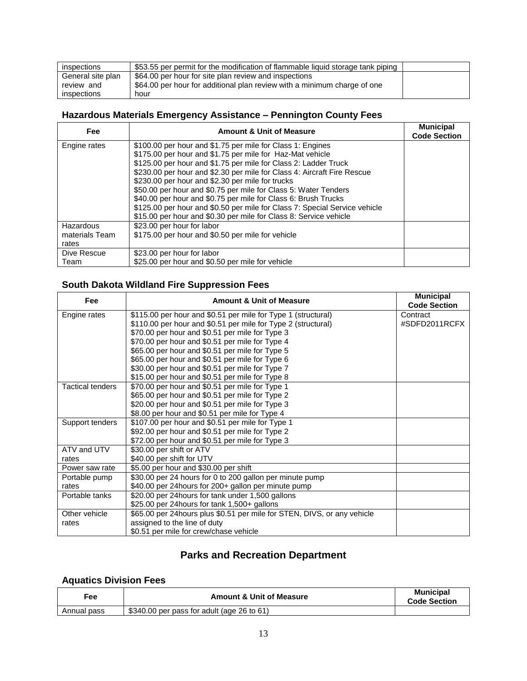| inspections       | \$53.55 per permit for the modification of flammable liquid storage tank piping |  |
|-------------------|---------------------------------------------------------------------------------|--|
| General site plan | \$64.00 per hour for site plan review and inspections                           |  |
| review and        | \$64.00 per hour for additional plan review with a minimum charge of one        |  |
| inspections       | hour                                                                            |  |

## **Hazardous Materials Emergency Assistance – Pennington County Fees**

| <b>Fee</b>     | <b>Amount &amp; Unit of Measure</b>                                                                                     | <b>Municipal</b><br><b>Code Section</b> |
|----------------|-------------------------------------------------------------------------------------------------------------------------|-----------------------------------------|
| Engine rates   | \$100.00 per hour and \$1.75 per mile for Class 1: Engines<br>\$175.00 per hour and \$1.75 per mile for Haz-Mat vehicle |                                         |
|                | \$125.00 per hour and \$1.75 per mile for Class 2: Ladder Truck                                                         |                                         |
|                | \$230.00 per hour and \$2.30 per mile for Class 4: Aircraft Fire Rescue                                                 |                                         |
|                | \$230.00 per hour and \$2.30 per mile for trucks                                                                        |                                         |
|                | \$50.00 per hour and \$0.75 per mile for Class 5: Water Tenders                                                         |                                         |
|                | \$40.00 per hour and \$0.75 per mile for Class 6: Brush Trucks                                                          |                                         |
|                | \$125.00 per hour and \$0.50 per mile for Class 7: Special Service vehicle                                              |                                         |
|                | \$15.00 per hour and \$0.30 per mile for Class 8: Service vehicle                                                       |                                         |
| Hazardous      | \$23.00 per hour for labor                                                                                              |                                         |
| materials Team | \$175.00 per hour and \$0.50 per mile for vehicle                                                                       |                                         |
| rates          |                                                                                                                         |                                         |
| Dive Rescue    | \$23.00 per hour for labor                                                                                              |                                         |
| Team           | \$25.00 per hour and \$0.50 per mile for vehicle                                                                        |                                         |

# **South Dakota Wildland Fire Suppression Fees**

| Fee                     | <b>Amount &amp; Unit of Measure</b>                                      | <b>Municipal</b><br><b>Code Section</b> |
|-------------------------|--------------------------------------------------------------------------|-----------------------------------------|
| Engine rates            | \$115.00 per hour and \$0.51 per mile for Type 1 (structural)            | Contract                                |
|                         | \$110.00 per hour and \$0.51 per mile for Type 2 (structural)            | #SDFD2011RCFX                           |
|                         | \$70.00 per hour and \$0.51 per mile for Type 3                          |                                         |
|                         | \$70.00 per hour and \$0.51 per mile for Type 4                          |                                         |
|                         | \$65.00 per hour and \$0.51 per mile for Type 5                          |                                         |
|                         | \$65.00 per hour and \$0.51 per mile for Type 6                          |                                         |
|                         | \$30.00 per hour and \$0.51 per mile for Type 7                          |                                         |
|                         | \$15.00 per hour and \$0.51 per mile for Type 8                          |                                         |
| <b>Tactical tenders</b> | \$70.00 per hour and \$0.51 per mile for Type 1                          |                                         |
|                         | \$65.00 per hour and \$0.51 per mile for Type 2                          |                                         |
|                         | \$20.00 per hour and \$0.51 per mile for Type 3                          |                                         |
|                         | \$8.00 per hour and \$0.51 per mile for Type 4                           |                                         |
| Support tenders         | \$107.00 per hour and \$0.51 per mile for Type 1                         |                                         |
|                         | \$92.00 per hour and \$0.51 per mile for Type 2                          |                                         |
|                         | \$72.00 per hour and \$0.51 per mile for Type 3                          |                                         |
| ATV and UTV             | \$30.00 per shift or ATV                                                 |                                         |
| rates                   | \$40.00 per shift for UTV                                                |                                         |
| Power saw rate          | \$5.00 per hour and \$30.00 per shift                                    |                                         |
| Portable pump           | \$30.00 per 24 hours for 0 to 200 gallon per minute pump                 |                                         |
| rates                   | \$40.00 per 24hours for 200+ gallon per minute pump                      |                                         |
| Portable tanks          | \$20.00 per 24 hours for tank under 1,500 gallons                        |                                         |
|                         | \$25.00 per 24 hours for tank 1,500+ gallons                             |                                         |
| Other vehicle           | \$65.00 per 24 hours plus \$0.51 per mile for STEN, DIVS, or any vehicle |                                         |
| rates                   | assigned to the line of duty                                             |                                         |
|                         | \$0.51 per mile for crew/chase vehicle                                   |                                         |

# **Parks and Recreation Department**

## **Aquatics Division Fees**

| ≂ee         | <b>Amount &amp; Unit of Measure</b>        | <b>Municipal</b><br><b>Code Section</b> |
|-------------|--------------------------------------------|-----------------------------------------|
| Annual pass | \$340.00 per pass for adult (age 26 to 61) |                                         |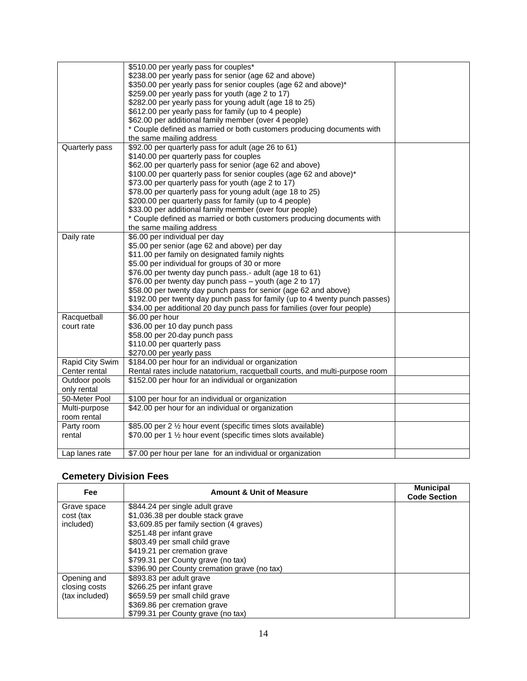|                 | \$510.00 per yearly pass for couples*                                       |  |
|-----------------|-----------------------------------------------------------------------------|--|
|                 | \$238.00 per yearly pass for senior (age 62 and above)                      |  |
|                 | \$350.00 per yearly pass for senior couples (age 62 and above)*             |  |
|                 | \$259.00 per yearly pass for youth (age 2 to 17)                            |  |
|                 | \$282.00 per yearly pass for young adult (age 18 to 25)                     |  |
|                 | \$612.00 per yearly pass for family (up to 4 people)                        |  |
|                 | \$62.00 per additional family member (over 4 people)                        |  |
|                 | * Couple defined as married or both customers producing documents with      |  |
|                 | the same mailing address                                                    |  |
| Quarterly pass  | \$92.00 per quarterly pass for adult (age 26 to 61)                         |  |
|                 | \$140.00 per quarterly pass for couples                                     |  |
|                 | \$62.00 per quarterly pass for senior (age 62 and above)                    |  |
|                 | \$100.00 per quarterly pass for senior couples (age 62 and above)*          |  |
|                 | \$73.00 per quarterly pass for youth (age 2 to 17)                          |  |
|                 | \$78.00 per quarterly pass for young adult (age 18 to 25)                   |  |
|                 | \$200.00 per quarterly pass for family (up to 4 people)                     |  |
|                 | \$33.00 per additional family member (over four people)                     |  |
|                 | * Couple defined as married or both customers producing documents with      |  |
|                 | the same mailing address                                                    |  |
| Daily rate      | \$6.00 per individual per day                                               |  |
|                 | \$5.00 per senior (age 62 and above) per day                                |  |
|                 | \$11.00 per family on designated family nights                              |  |
|                 | \$5.00 per individual for groups of 30 or more                              |  |
|                 | \$76.00 per twenty day punch pass.- adult (age 18 to 61)                    |  |
|                 | \$76.00 per twenty day punch pass - youth (age 2 to 17)                     |  |
|                 | \$58.00 per twenty day punch pass for senior (age 62 and above)             |  |
|                 | \$192.00 per twenty day punch pass for family (up to 4 twenty punch passes) |  |
|                 | \$34.00 per additional 20 day punch pass for families (over four people)    |  |
| Racquetball     | \$6.00 per hour                                                             |  |
| court rate      | \$36.00 per 10 day punch pass                                               |  |
|                 | \$58.00 per 20-day punch pass                                               |  |
|                 | \$110.00 per quarterly pass                                                 |  |
|                 | \$270.00 per yearly pass                                                    |  |
| Rapid City Swim | \$184.00 per hour for an individual or organization                         |  |
| Center rental   | Rental rates include natatorium, racquetball courts, and multi-purpose room |  |
| Outdoor pools   | \$152.00 per hour for an individual or organization                         |  |
| only rental     |                                                                             |  |
| 50-Meter Pool   | \$100 per hour for an individual or organization                            |  |
| Multi-purpose   | \$42.00 per hour for an individual or organization                          |  |
| room rental     |                                                                             |  |
| Party room      | \$85.00 per 2 1/2 hour event (specific times slots available)               |  |
| rental          | \$70.00 per 1 1/2 hour event (specific times slots available)               |  |
|                 |                                                                             |  |
| Lap lanes rate  | \$7.00 per hour per lane for an individual or organization                  |  |
|                 |                                                                             |  |

# **Cemetery Division Fees**

| <b>Fee</b>     | <b>Amount &amp; Unit of Measure</b>          | <b>Municipal</b><br><b>Code Section</b> |
|----------------|----------------------------------------------|-----------------------------------------|
| Grave space    | \$844.24 per single adult grave              |                                         |
| cost (tax      | \$1,036.38 per double stack grave            |                                         |
| included)      | \$3,609.85 per family section (4 graves)     |                                         |
|                | \$251.48 per infant grave                    |                                         |
|                | \$803.49 per small child grave               |                                         |
|                | \$419.21 per cremation grave                 |                                         |
|                | \$799.31 per County grave (no tax)           |                                         |
|                | \$396.90 per County cremation grave (no tax) |                                         |
| Opening and    | \$893.83 per adult grave                     |                                         |
| closing costs  | \$266.25 per infant grave                    |                                         |
| (tax included) | \$659.59 per small child grave               |                                         |
|                | \$369.86 per cremation grave                 |                                         |
|                | \$799.31 per County grave (no tax)           |                                         |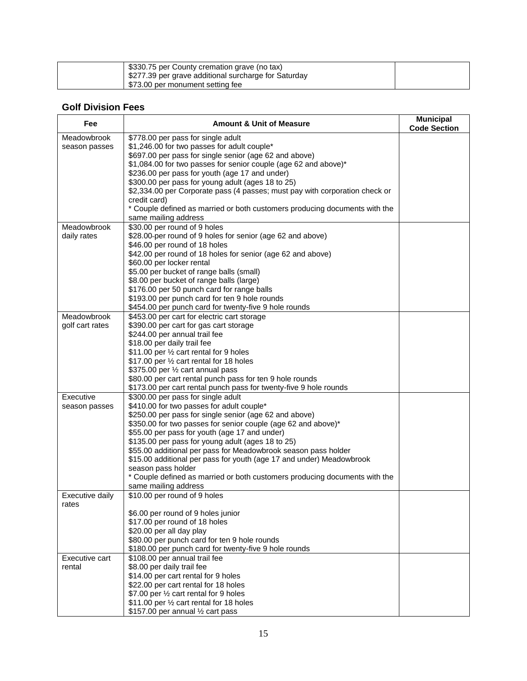| \$330.75 per County cremation grave (no tax)<br>\$277.39 per grave additional surcharge for Saturday |  |
|------------------------------------------------------------------------------------------------------|--|
| \$73.00 per monument setting fee                                                                     |  |

### **Golf Division Fees**

| Fee             | <b>Amount &amp; Unit of Measure</b>                                         | <b>Municipal</b><br><b>Code Section</b> |
|-----------------|-----------------------------------------------------------------------------|-----------------------------------------|
| Meadowbrook     | \$778.00 per pass for single adult                                          |                                         |
| season passes   | \$1,246.00 for two passes for adult couple*                                 |                                         |
|                 | \$697.00 per pass for single senior (age 62 and above)                      |                                         |
|                 | \$1,084.00 for two passes for senior couple (age 62 and above)*             |                                         |
|                 | \$236.00 per pass for youth (age 17 and under)                              |                                         |
|                 | \$300.00 per pass for young adult (ages 18 to 25)                           |                                         |
|                 | \$2,334.00 per Corporate pass (4 passes; must pay with corporation check or |                                         |
|                 | credit card)                                                                |                                         |
|                 | * Couple defined as married or both customers producing documents with the  |                                         |
|                 | same mailing address                                                        |                                         |
| Meadowbrook     | \$30.00 per round of 9 holes                                                |                                         |
| daily rates     | \$28.00-per round of 9 holes for senior (age 62 and above)                  |                                         |
|                 | \$46.00 per round of 18 holes                                               |                                         |
|                 | \$42.00 per round of 18 holes for senior (age 62 and above)                 |                                         |
|                 | \$60.00 per locker rental                                                   |                                         |
|                 | \$5.00 per bucket of range balls (small)                                    |                                         |
|                 | \$8.00 per bucket of range balls (large)                                    |                                         |
|                 | \$176.00 per 50 punch card for range balls                                  |                                         |
|                 | \$193.00 per punch card for ten 9 hole rounds                               |                                         |
|                 | \$454.00 per punch card for twenty-five 9 hole rounds                       |                                         |
| Meadowbrook     | \$453.00 per cart for electric cart storage                                 |                                         |
| golf cart rates | \$390.00 per cart for gas cart storage                                      |                                         |
|                 | \$244.00 per annual trail fee                                               |                                         |
|                 | \$18.00 per daily trail fee                                                 |                                         |
|                 | \$11.00 per 1/2 cart rental for 9 holes                                     |                                         |
|                 | \$17.00 per 1/2 cart rental for 18 holes                                    |                                         |
|                 | \$375.00 per 1/2 cart annual pass                                           |                                         |
|                 | \$80.00 per cart rental punch pass for ten 9 hole rounds                    |                                         |
|                 | \$173.00 per cart rental punch pass for twenty-five 9 hole rounds           |                                         |
| Executive       | \$300.00 per pass for single adult                                          |                                         |
| season passes   | \$410.00 for two passes for adult couple*                                   |                                         |
|                 | \$250.00 per pass for single senior (age 62 and above)                      |                                         |
|                 | \$350.00 for two passes for senior couple (age 62 and above)*               |                                         |
|                 | \$55.00 per pass for youth (age 17 and under)                               |                                         |
|                 | \$135.00 per pass for young adult (ages 18 to 25)                           |                                         |
|                 | \$55.00 additional per pass for Meadowbrook season pass holder              |                                         |
|                 | \$15.00 additional per pass for youth (age 17 and under) Meadowbrook        |                                         |
|                 | season pass holder                                                          |                                         |
|                 | * Couple defined as married or both customers producing documents with the  |                                         |
|                 | same mailing address                                                        |                                         |
| Executive daily | \$10.00 per round of 9 holes                                                |                                         |
| rates           |                                                                             |                                         |
|                 | \$6.00 per round of 9 holes junior                                          |                                         |
|                 | \$17.00 per round of 18 holes                                               |                                         |
|                 | \$20.00 per all day play                                                    |                                         |
|                 | \$80.00 per punch card for ten 9 hole rounds                                |                                         |
|                 | \$180.00 per punch card for twenty-five 9 hole rounds                       |                                         |
| Executive cart  | \$108.00 per annual trail fee                                               |                                         |
| rental          | \$8.00 per daily trail fee                                                  |                                         |
|                 | \$14.00 per cart rental for 9 holes                                         |                                         |
|                 | \$22.00 per cart rental for 18 holes                                        |                                         |
|                 | \$7.00 per 1/2 cart rental for 9 holes                                      |                                         |
|                 | \$11.00 per 1/2 cart rental for 18 holes                                    |                                         |
|                 | \$157.00 per annual 1/2 cart pass                                           |                                         |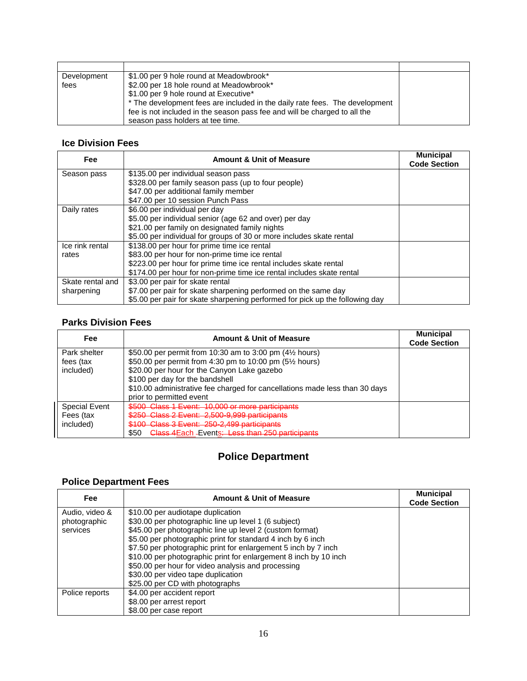| Development<br>fees | \$1.00 per 9 hole round at Meadowbrook*<br>\$2.00 per 18 hole round at Meadowbrook*<br>\$1.00 per 9 hole round at Executive*<br>* The development fees are included in the daily rate fees. The development<br>fee is not included in the season pass fee and will be charged to all the |  |
|---------------------|------------------------------------------------------------------------------------------------------------------------------------------------------------------------------------------------------------------------------------------------------------------------------------------|--|
|                     | season pass holders at tee time.                                                                                                                                                                                                                                                         |  |

### **Ice Division Fees**

| Fee              | <b>Amount &amp; Unit of Measure</b>                                          | <b>Municipal</b><br><b>Code Section</b> |
|------------------|------------------------------------------------------------------------------|-----------------------------------------|
| Season pass      | \$135.00 per individual season pass                                          |                                         |
|                  | \$328.00 per family season pass (up to four people)                          |                                         |
|                  | \$47.00 per additional family member                                         |                                         |
|                  | \$47.00 per 10 session Punch Pass                                            |                                         |
| Daily rates      | \$6.00 per individual per day                                                |                                         |
|                  | \$5.00 per individual senior (age 62 and over) per day                       |                                         |
|                  | \$21.00 per family on designated family nights                               |                                         |
|                  | \$5.00 per individual for groups of 30 or more includes skate rental         |                                         |
| Ice rink rental  | \$138.00 per hour for prime time ice rental                                  |                                         |
| rates            | \$83.00 per hour for non-prime time ice rental                               |                                         |
|                  | \$223.00 per hour for prime time ice rental includes skate rental            |                                         |
|                  | \$174.00 per hour for non-prime time ice rental includes skate rental        |                                         |
| Skate rental and | \$3.00 per pair for skate rental                                             |                                         |
| sharpening       | \$7.00 per pair for skate sharpening performed on the same day               |                                         |
|                  | \$5.00 per pair for skate sharpening performed for pick up the following day |                                         |

# **Parks Division Fees**

| Fee                  | <b>Amount &amp; Unit of Measure</b>                                         | <b>Municipal</b><br><b>Code Section</b> |
|----------------------|-----------------------------------------------------------------------------|-----------------------------------------|
| Park shelter         | \$50.00 per permit from 10:30 am to 3:00 pm $(4\frac{1}{2})$ hours)         |                                         |
| fees (tax            | \$50.00 per permit from 4:30 pm to 10:00 pm (5½ hours)                      |                                         |
| included)            | \$20.00 per hour for the Canyon Lake gazebo                                 |                                         |
|                      | \$100 per day for the bandshell                                             |                                         |
|                      | \$10.00 administrative fee charged for cancellations made less than 30 days |                                         |
|                      | prior to permitted event                                                    |                                         |
| <b>Special Event</b> | \$500 Class 1 Event: 10,000 or more participants                            |                                         |
| Fees (tax            | \$250 Class 2 Event: 2,500-9,999 participants                               |                                         |
| included)            | \$100 Class 3 Event: 250-2.499 participants                                 |                                         |
|                      | \$50<br>Class 4 Each - Events: Less than 250 participants                   |                                         |

# **Police Department**

## **Police Department Fees**

| Fee            | <b>Amount &amp; Unit of Measure</b>                              | <b>Municipal</b><br><b>Code Section</b> |
|----------------|------------------------------------------------------------------|-----------------------------------------|
| Audio, video & | \$10.00 per audiotape duplication                                |                                         |
| photographic   | \$30.00 per photographic line up level 1 (6 subject)             |                                         |
| services       | \$45.00 per photographic line up level 2 (custom format)         |                                         |
|                | \$5.00 per photographic print for standard 4 inch by 6 inch      |                                         |
|                | \$7.50 per photographic print for enlargement 5 inch by 7 inch   |                                         |
|                | \$10.00 per photographic print for enlargement 8 inch by 10 inch |                                         |
|                | \$50.00 per hour for video analysis and processing               |                                         |
|                | \$30.00 per video tape duplication                               |                                         |
|                | \$25.00 per CD with photographs                                  |                                         |
| Police reports | \$4.00 per accident report                                       |                                         |
|                | \$8.00 per arrest report                                         |                                         |
|                | \$8.00 per case report                                           |                                         |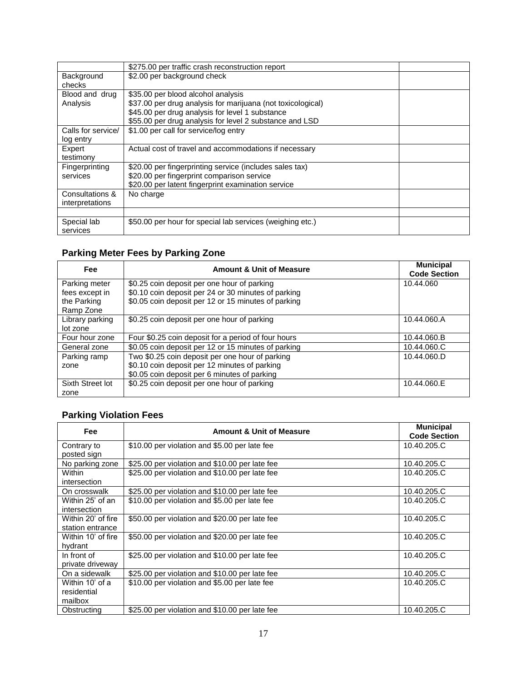|                    | \$275.00 per traffic crash reconstruction report            |
|--------------------|-------------------------------------------------------------|
| Background         | \$2.00 per background check                                 |
| checks             |                                                             |
| Blood and drug     | \$35.00 per blood alcohol analysis                          |
| Analysis           | \$37.00 per drug analysis for marijuana (not toxicological) |
|                    | \$45.00 per drug analysis for level 1 substance             |
|                    | \$55.00 per drug analysis for level 2 substance and LSD     |
| Calls for service/ | \$1.00 per call for service/log entry                       |
| log entry          |                                                             |
| Expert             | Actual cost of travel and accommodations if necessary       |
| testimony          |                                                             |
| Fingerprinting     | \$20.00 per fingerprinting service (includes sales tax)     |
| services           | \$20.00 per fingerprint comparison service                  |
|                    | \$20.00 per latent fingerprint examination service          |
| Consultations &    | No charge                                                   |
| interpretations    |                                                             |
|                    |                                                             |
| Special lab        | \$50.00 per hour for special lab services (weighing etc.)   |
| services           |                                                             |

# **Parking Meter Fees by Parking Zone**

| <b>Fee</b>       | <b>Amount &amp; Unit of Measure</b>                 | <b>Municipal</b><br><b>Code Section</b> |
|------------------|-----------------------------------------------------|-----------------------------------------|
| Parking meter    | \$0.25 coin deposit per one hour of parking         | 10.44.060                               |
| fees except in   | \$0.10 coin deposit per 24 or 30 minutes of parking |                                         |
| the Parking      | \$0.05 coin deposit per 12 or 15 minutes of parking |                                         |
| Ramp Zone        |                                                     |                                         |
| Library parking  | \$0.25 coin deposit per one hour of parking         | 10.44.060.A                             |
| lot zone         |                                                     |                                         |
| Four hour zone   | Four \$0.25 coin deposit for a period of four hours | 10.44.060.B                             |
| General zone     | \$0.05 coin deposit per 12 or 15 minutes of parking | 10.44.060.C                             |
| Parking ramp     | Two \$0.25 coin deposit per one hour of parking     | 10.44.060.D                             |
| zone             | \$0.10 coin deposit per 12 minutes of parking       |                                         |
|                  | \$0.05 coin deposit per 6 minutes of parking        |                                         |
| Sixth Street lot | \$0.25 coin deposit per one hour of parking         | 10.44.060.E                             |
| zone             |                                                     |                                         |

# **Parking Violation Fees**

| Fee                                       | <b>Amount &amp; Unit of Measure</b>            | <b>Municipal</b><br><b>Code Section</b> |
|-------------------------------------------|------------------------------------------------|-----------------------------------------|
| Contrary to<br>posted sign                | \$10.00 per violation and \$5.00 per late fee  | 10.40.205.C                             |
| No parking zone                           | \$25.00 per violation and \$10.00 per late fee | 10.40.205.C                             |
| Within<br>intersection                    | \$25.00 per violation and \$10.00 per late fee | 10.40.205.C                             |
| On crosswalk                              | \$25.00 per violation and \$10.00 per late fee | 10.40.205.C                             |
| Within 25' of an<br>intersection          | \$10.00 per violation and \$5.00 per late fee  | 10.40.205.C                             |
| Within 20' of fire<br>station entrance    | \$50.00 per violation and \$20.00 per late fee | 10.40.205.C                             |
| Within 10' of fire<br>hydrant             | \$50.00 per violation and \$20.00 per late fee | 10.40.205.C                             |
| In front of<br>private driveway           | \$25.00 per violation and \$10.00 per late fee | 10.40.205.C                             |
| On a sidewalk                             | \$25.00 per violation and \$10.00 per late fee | 10.40.205.C                             |
| Within 10' of a<br>residential<br>mailbox | \$10.00 per violation and \$5.00 per late fee  | 10.40.205.C                             |
| Obstructing                               | \$25.00 per violation and \$10.00 per late fee | 10.40.205.C                             |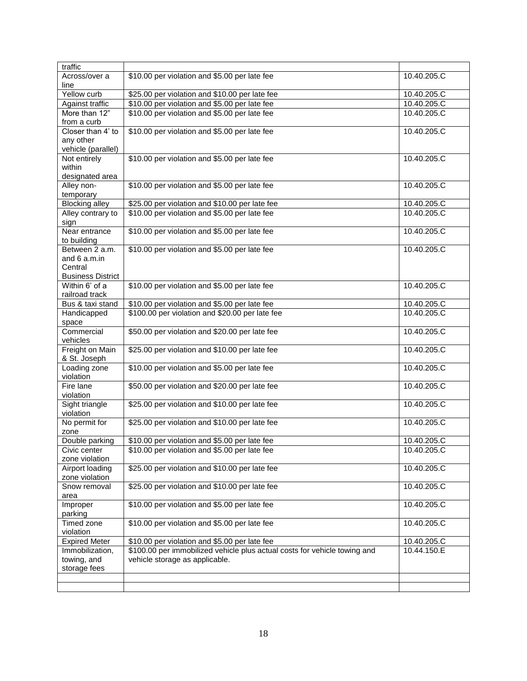| traffic                         |                                                                           |             |
|---------------------------------|---------------------------------------------------------------------------|-------------|
| Across/over a                   | \$10.00 per violation and \$5.00 per late fee                             | 10.40.205.C |
| line                            |                                                                           |             |
| Yellow curb                     | \$25.00 per violation and \$10.00 per late fee                            | 10.40.205.C |
| Against traffic                 | \$10.00 per violation and \$5.00 per late fee                             | 10.40.205.C |
| More than 12"                   | \$10.00 per violation and \$5.00 per late fee                             | 10.40.205.C |
| from a curb                     |                                                                           |             |
| Closer than 4' to               | \$10.00 per violation and \$5.00 per late fee                             | 10.40.205.C |
| any other                       |                                                                           |             |
| vehicle (parallel)              |                                                                           |             |
| Not entirely                    | \$10.00 per violation and \$5.00 per late fee                             | 10.40.205.C |
| within                          |                                                                           |             |
| designated area                 |                                                                           |             |
| Alley non-                      | \$10.00 per violation and \$5.00 per late fee                             | 10.40.205.C |
| temporary                       |                                                                           |             |
| <b>Blocking alley</b>           | \$25.00 per violation and \$10.00 per late fee                            | 10.40.205.C |
| Alley contrary to               | \$10.00 per violation and \$5.00 per late fee                             | 10.40.205.C |
| sign                            |                                                                           |             |
| Near entrance                   | \$10.00 per violation and \$5.00 per late fee                             | 10.40.205.C |
| to building                     |                                                                           |             |
| Between 2 a.m.                  | \$10.00 per violation and \$5.00 per late fee                             | 10.40.205.C |
| and $6$ a.m.in                  |                                                                           |             |
| Central                         |                                                                           |             |
| <b>Business District</b>        |                                                                           |             |
| Within 6' of a                  | \$10.00 per violation and \$5.00 per late fee                             | 10.40.205.C |
| railroad track                  |                                                                           |             |
| Bus & taxi stand                | \$10.00 per violation and \$5.00 per late fee                             | 10.40.205.C |
| Handicapped                     | \$100.00 per violation and \$20.00 per late fee                           | 10.40.205.C |
| space                           |                                                                           |             |
| Commercial                      | \$50.00 per violation and \$20.00 per late fee                            | 10.40.205.C |
| vehicles                        |                                                                           | 10.40.205.C |
| Freight on Main<br>& St. Joseph | \$25.00 per violation and \$10.00 per late fee                            |             |
| Loading zone                    | \$10.00 per violation and \$5.00 per late fee                             | 10.40.205.C |
| violation                       |                                                                           |             |
| Fire lane                       | \$50.00 per violation and \$20.00 per late fee                            | 10.40.205.C |
| violation                       |                                                                           |             |
| Sight triangle                  | \$25.00 per violation and \$10.00 per late fee                            | 10.40.205.C |
| violation                       |                                                                           |             |
| No permit for                   | \$25.00 per violation and \$10.00 per late fee                            | 10.40.205.C |
| zone                            |                                                                           |             |
| Double parking                  | \$10.00 per violation and \$5.00 per late fee                             | 10.40.205.C |
| Civic center                    | \$10.00 per violation and \$5.00 per late fee                             | 10.40.205.C |
| zone violation                  |                                                                           |             |
| Airport loading                 | \$25.00 per violation and \$10.00 per late fee                            | 10.40.205.C |
| zone violation                  |                                                                           |             |
| Snow removal                    | \$25.00 per violation and \$10.00 per late fee                            | 10.40.205.C |
| area                            |                                                                           |             |
| Improper                        | \$10.00 per violation and \$5.00 per late fee                             | 10.40.205.C |
| parking                         |                                                                           |             |
| Timed zone                      | \$10.00 per violation and \$5.00 per late fee                             | 10.40.205.C |
| violation                       |                                                                           |             |
| <b>Expired Meter</b>            | \$10.00 per violation and \$5.00 per late fee                             | 10.40.205.C |
| Immobilization,                 | \$100.00 per immobilized vehicle plus actual costs for vehicle towing and | 10.44.150.E |
| towing, and                     | vehicle storage as applicable.                                            |             |
| storage fees                    |                                                                           |             |
|                                 |                                                                           |             |
|                                 |                                                                           |             |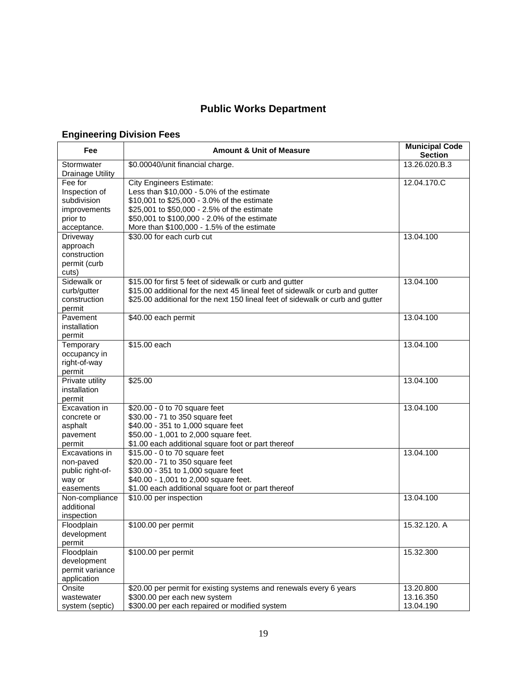# **Public Works Department**

## **Engineering Division Fees**

| Fee                                                                                | <b>Amount &amp; Unit of Measure</b>                                                                                                                                                                                                                                      | <b>Municipal Code</b><br><b>Section</b> |
|------------------------------------------------------------------------------------|--------------------------------------------------------------------------------------------------------------------------------------------------------------------------------------------------------------------------------------------------------------------------|-----------------------------------------|
| Stormwater<br><b>Drainage Utility</b>                                              | \$0.00040/unit financial charge.                                                                                                                                                                                                                                         | 13.26.020.B.3                           |
| Fee for<br>Inspection of<br>subdivision<br>improvements<br>prior to<br>acceptance. | <b>City Engineers Estimate:</b><br>Less than \$10,000 - 5.0% of the estimate<br>\$10,001 to \$25,000 - 3.0% of the estimate<br>\$25,001 to \$50,000 - 2.5% of the estimate<br>\$50,001 to \$100,000 - 2.0% of the estimate<br>More than \$100,000 - 1.5% of the estimate | 12.04.170.C                             |
| Driveway<br>approach<br>construction<br>permit (curb<br>cuts)                      | \$30.00 for each curb cut                                                                                                                                                                                                                                                | 13.04.100                               |
| Sidewalk or<br>curb/gutter<br>construction<br>permit                               | \$15.00 for first 5 feet of sidewalk or curb and gutter<br>\$15.00 additional for the next 45 lineal feet of sidewalk or curb and gutter<br>\$25.00 additional for the next 150 lineal feet of sidewalk or curb and gutter                                               | 13.04.100                               |
| Pavement<br>installation<br>permit                                                 | \$40.00 each permit                                                                                                                                                                                                                                                      | 13.04.100                               |
| Temporary<br>occupancy in<br>right-of-way<br>permit                                | \$15.00 each                                                                                                                                                                                                                                                             | 13.04.100                               |
| Private utility<br>installation<br>permit                                          | \$25.00                                                                                                                                                                                                                                                                  | 13.04.100                               |
| Excavation in<br>concrete or<br>asphalt<br>pavement<br>permit                      | \$20.00 - 0 to 70 square feet<br>\$30.00 - 71 to 350 square feet<br>\$40.00 - 351 to 1,000 square feet<br>\$50.00 - 1,001 to 2,000 square feet.<br>\$1.00 each additional square foot or part thereof                                                                    | 13.04.100                               |
| Excavations in<br>non-paved<br>public right-of-<br>way or<br>easements             | \$15.00 - 0 to 70 square feet<br>\$20.00 - 71 to 350 square feet<br>\$30.00 - 351 to 1,000 square feet<br>\$40.00 - 1,001 to 2,000 square feet.<br>\$1.00 each additional square foot or part thereof                                                                    | 13.04.100                               |
| Non-compliance<br>additional<br>inspection                                         | \$10.00 per inspection                                                                                                                                                                                                                                                   | 13.04.100                               |
| Floodplain<br>development<br>permit                                                | \$100.00 per permit                                                                                                                                                                                                                                                      | 15.32.120. A                            |
| Floodplain<br>development<br>permit variance<br>application                        | \$100.00 per permit                                                                                                                                                                                                                                                      | 15.32.300                               |
| Onsite<br>wastewater<br>system (septic)                                            | \$20.00 per permit for existing systems and renewals every 6 years<br>\$300.00 per each new system<br>\$300.00 per each repaired or modified system                                                                                                                      | 13.20.800<br>13.16.350<br>13.04.190     |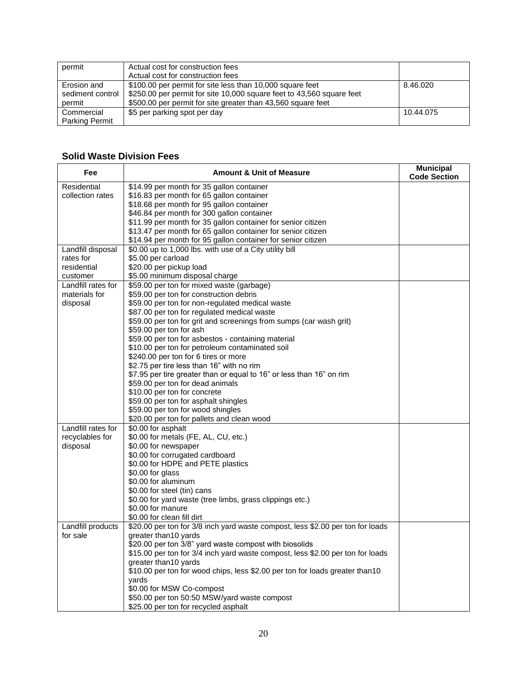| permit                                    | Actual cost for construction fees<br>Actual cost for construction fees                                                                                                                             |           |
|-------------------------------------------|----------------------------------------------------------------------------------------------------------------------------------------------------------------------------------------------------|-----------|
| Erosion and<br>sediment control<br>permit | \$100.00 per permit for site less than 10,000 square feet<br>\$250.00 per permit for site 10,000 square feet to 43,560 square feet<br>\$500.00 per permit for site greater than 43,560 square feet | 8.46.020  |
| Commercial<br><b>Parking Permit</b>       | \$5 per parking spot per day                                                                                                                                                                       | 10.44.075 |

## **Solid Waste Division Fees**

| Fee                | <b>Amount &amp; Unit of Measure</b>                                            | <b>Municipal</b><br><b>Code Section</b> |
|--------------------|--------------------------------------------------------------------------------|-----------------------------------------|
| Residential        | \$14.99 per month for 35 gallon container                                      |                                         |
| collection rates   | \$16.83 per month for 65 gallon container                                      |                                         |
|                    | \$18.68 per month for 95 gallon container                                      |                                         |
|                    | \$46.84 per month for 300 gallon container                                     |                                         |
|                    | \$11.99 per month for 35 gallon container for senior citizen                   |                                         |
|                    | \$13.47 per month for 65 gallon container for senior citizen                   |                                         |
|                    | \$14.94 per month for 95 gallon container for senior citizen                   |                                         |
| Landfill disposal  | \$0.00 up to 1,000 lbs. with use of a City utility bill                        |                                         |
| rates for          | \$5.00 per carload                                                             |                                         |
| residential        | \$20.00 per pickup load                                                        |                                         |
| customer           | \$5.00 minimum disposal charge                                                 |                                         |
| Landfill rates for | \$59.00 per ton for mixed waste (garbage)                                      |                                         |
| materials for      | \$59.00 per ton for construction debris                                        |                                         |
| disposal           | \$59.00 per ton for non-regulated medical waste                                |                                         |
|                    | \$87.00 per ton for regulated medical waste                                    |                                         |
|                    | \$59.00 per ton for grit and screenings from sumps (car wash grit)             |                                         |
|                    | \$59.00 per ton for ash                                                        |                                         |
|                    | \$59.00 per ton for asbestos - containing material                             |                                         |
|                    | \$10.00 per ton for petroleum contaminated soil                                |                                         |
|                    | \$240.00 per ton for 6 tires or more                                           |                                         |
|                    | \$2.75 per tire less than 16" with no rim                                      |                                         |
|                    | \$7.95 per tire greater than or equal to 16" or less than 16" on rim           |                                         |
|                    | \$59.00 per ton for dead animals                                               |                                         |
|                    | \$10.00 per ton for concrete                                                   |                                         |
|                    | \$59.00 per ton for asphalt shingles                                           |                                         |
|                    | \$59.00 per ton for wood shingles                                              |                                         |
|                    | \$20.00 per ton for pallets and clean wood                                     |                                         |
| Landfill rates for | \$0.00 for asphalt                                                             |                                         |
| recyclables for    | \$0.00 for metals (FE, AL, CU, etc.)                                           |                                         |
| disposal           | \$0.00 for newspaper                                                           |                                         |
|                    | \$0.00 for corrugated cardboard                                                |                                         |
|                    | \$0.00 for HDPE and PETE plastics                                              |                                         |
|                    | \$0.00 for glass                                                               |                                         |
|                    | \$0.00 for aluminum                                                            |                                         |
|                    | \$0.00 for steel (tin) cans                                                    |                                         |
|                    | \$0.00 for yard waste (tree limbs, grass clippings etc.)                       |                                         |
|                    | \$0.00 for manure                                                              |                                         |
|                    | \$0.00 for clean fill dirt                                                     |                                         |
| Landfill products  | \$20.00 per ton for 3/8 inch yard waste compost, less \$2.00 per ton for loads |                                         |
| for sale           | greater than 10 yards                                                          |                                         |
|                    | \$20.00 per ton 3/8" yard waste compost with biosolids                         |                                         |
|                    | \$15.00 per ton for 3/4 inch yard waste compost, less \$2.00 per ton for loads |                                         |
|                    | greater than10 yards                                                           |                                         |
|                    | \$10.00 per ton for wood chips, less \$2.00 per ton for loads greater than10   |                                         |
|                    | vards                                                                          |                                         |
|                    | \$0.00 for MSW Co-compost                                                      |                                         |
|                    | \$50.00 per ton 50:50 MSW/yard waste compost                                   |                                         |
|                    | \$25.00 per ton for recycled asphalt                                           |                                         |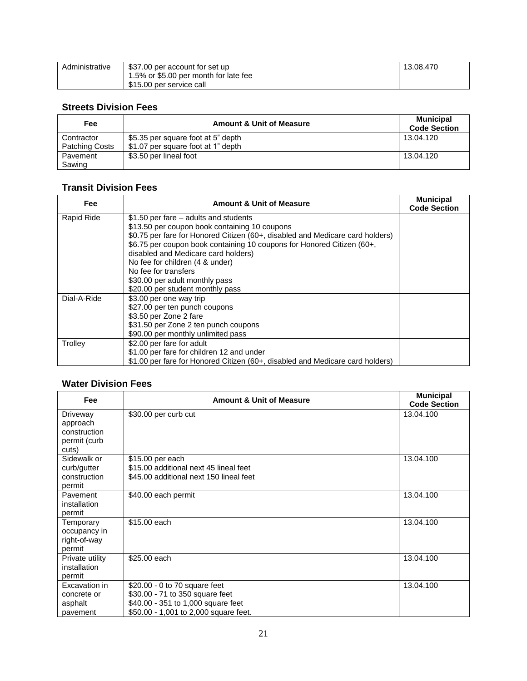| Administrative | \$37.00 per account for set up        | 13.08.470 |
|----------------|---------------------------------------|-----------|
|                | 1.5% or \$5.00 per month for late fee |           |
|                | \$15.00 per service call              |           |

### **Streets Division Fees**

| Fee                   | <b>Amount &amp; Unit of Measure</b> | <b>Municipal</b><br><b>Code Section</b> |
|-----------------------|-------------------------------------|-----------------------------------------|
| Contractor            | \$5.35 per square foot at 5" depth  | 13.04.120                               |
| <b>Patching Costs</b> | \$1.07 per square foot at 1" depth  |                                         |
| Pavement              | \$3.50 per lineal foot              | 13.04.120                               |
| Sawing                |                                     |                                         |

### **Transit Division Fees**

| Fee         | <b>Amount &amp; Unit of Measure</b>                                           | <b>Municipal</b><br><b>Code Section</b> |
|-------------|-------------------------------------------------------------------------------|-----------------------------------------|
| Rapid Ride  | \$1.50 per fare – adults and students                                         |                                         |
|             | \$13.50 per coupon book containing 10 coupons                                 |                                         |
|             | \$0.75 per fare for Honored Citizen (60+, disabled and Medicare card holders) |                                         |
|             | \$6.75 per coupon book containing 10 coupons for Honored Citizen (60+,        |                                         |
|             | disabled and Medicare card holders)                                           |                                         |
|             | No fee for children (4 & under)                                               |                                         |
|             | No fee for transfers                                                          |                                         |
|             | \$30.00 per adult monthly pass                                                |                                         |
|             | \$20.00 per student monthly pass                                              |                                         |
| Dial-A-Ride | \$3.00 per one way trip                                                       |                                         |
|             | \$27.00 per ten punch coupons                                                 |                                         |
|             | \$3.50 per Zone 2 fare                                                        |                                         |
|             | \$31.50 per Zone 2 ten punch coupons                                          |                                         |
|             | \$90.00 per monthly unlimited pass                                            |                                         |
| Trolley     | \$2.00 per fare for adult                                                     |                                         |
|             | \$1.00 per fare for children 12 and under                                     |                                         |
|             | \$1.00 per fare for Honored Citizen (60+, disabled and Medicare card holders) |                                         |

### **Water Division Fees**

| <b>Fee</b>                                                    | <b>Amount &amp; Unit of Measure</b>                                                                                                             | <b>Municipal</b><br><b>Code Section</b> |
|---------------------------------------------------------------|-------------------------------------------------------------------------------------------------------------------------------------------------|-----------------------------------------|
| Driveway<br>approach<br>construction<br>permit (curb<br>cuts) | \$30.00 per curb cut                                                                                                                            | 13.04.100                               |
| Sidewalk or<br>curb/gutter<br>construction<br>permit          | \$15.00 per each<br>\$15.00 additional next 45 lineal feet<br>\$45.00 additional next 150 lineal feet                                           | 13.04.100                               |
| Pavement<br>installation<br>permit                            | \$40.00 each permit                                                                                                                             | 13.04.100                               |
| Temporary<br>occupancy in<br>right-of-way<br>permit           | \$15.00 each                                                                                                                                    | 13.04.100                               |
| Private utility<br>installation<br>permit                     | \$25.00 each                                                                                                                                    | 13.04.100                               |
| Excavation in<br>concrete or<br>asphalt<br>pavement           | \$20.00 - 0 to 70 square feet<br>\$30.00 - 71 to 350 square feet<br>\$40.00 - 351 to 1,000 square feet<br>\$50.00 - 1,001 to 2,000 square feet. | 13.04.100                               |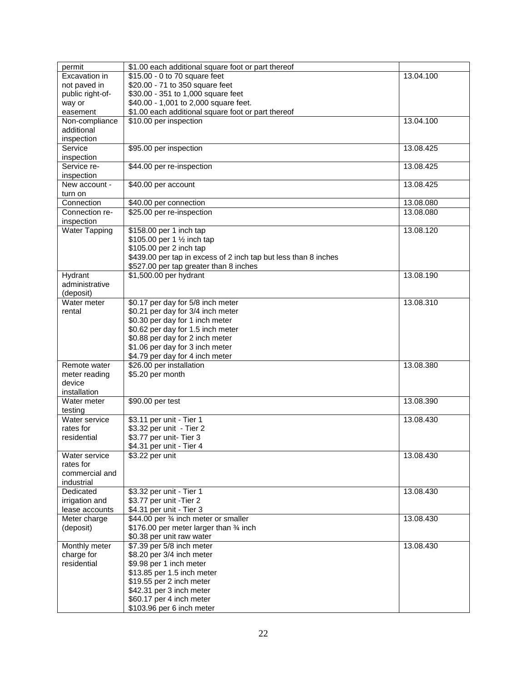| permit               | \$1.00 each additional square foot or part thereof              |           |
|----------------------|-----------------------------------------------------------------|-----------|
| Excavation in        | \$15.00 - 0 to 70 square feet                                   | 13.04.100 |
| not paved in         | \$20.00 - 71 to 350 square feet                                 |           |
| public right-of-     | \$30.00 - 351 to 1,000 square feet                              |           |
| way or               | \$40.00 - 1,001 to 2,000 square feet.                           |           |
| easement             | \$1.00 each additional square foot or part thereof              |           |
| Non-compliance       | \$10.00 per inspection                                          | 13.04.100 |
| additional           |                                                                 |           |
| inspection           |                                                                 |           |
| Service              | \$95.00 per inspection                                          | 13.08.425 |
| inspection           |                                                                 |           |
| Service re-          | \$44.00 per re-inspection                                       | 13.08.425 |
| inspection           |                                                                 |           |
| New account -        | \$40.00 per account                                             | 13.08.425 |
| turn on              |                                                                 |           |
| Connection           | \$40.00 per connection                                          | 13.08.080 |
| Connection re-       | \$25.00 per re-inspection                                       | 13.08.080 |
| inspection           |                                                                 |           |
| <b>Water Tapping</b> | \$158.00 per 1 inch tap                                         | 13.08.120 |
|                      | \$105.00 per 1 1/2 inch tap                                     |           |
|                      | \$105.00 per 2 inch tap                                         |           |
|                      | \$439.00 per tap in excess of 2 inch tap but less than 8 inches |           |
|                      | \$527.00 per tap greater than 8 inches                          |           |
| Hydrant              | \$1,500.00 per hydrant                                          | 13.08.190 |
| administrative       |                                                                 |           |
| (deposit)            |                                                                 |           |
| Water meter          | \$0.17 per day for 5/8 inch meter                               | 13.08.310 |
| rental               | \$0.21 per day for 3/4 inch meter                               |           |
|                      | \$0.30 per day for 1 inch meter                                 |           |
|                      | \$0.62 per day for 1.5 inch meter                               |           |
|                      | \$0.88 per day for 2 inch meter                                 |           |
|                      | \$1.06 per day for 3 inch meter                                 |           |
|                      | \$4.79 per day for 4 inch meter                                 |           |
| Remote water         | \$26.00 per installation                                        | 13.08.380 |
| meter reading        | \$5.20 per month                                                |           |
| device               |                                                                 |           |
| installation         |                                                                 |           |
| Water meter          | \$90.00 per test                                                | 13.08.390 |
| testing              |                                                                 |           |
| Water service        | \$3.11 per unit - Tier 1                                        | 13.08.430 |
| rates for            | \$3.32 per unit - Tier 2                                        |           |
| residential          | \$3.77 per unit- Tier 3                                         |           |
|                      | \$4.31 per unit - Tier 4                                        |           |
| Water service        | \$3.22 per unit                                                 | 13.08.430 |
| rates for            |                                                                 |           |
| commercial and       |                                                                 |           |
| industrial           |                                                                 |           |
| Dedicated            | \$3.32 per unit - Tier 1                                        | 13.08.430 |
| irrigation and       | \$3.77 per unit -Tier 2                                         |           |
| lease accounts       | \$4.31 per unit - Tier 3                                        |           |
| Meter charge         | \$44.00 per 3⁄4 inch meter or smaller                           | 13.08.430 |
| (deposit)            | \$176.00 per meter larger than 34 inch                          |           |
|                      | \$0.38 per unit raw water                                       |           |
| Monthly meter        | \$7.39 per 5/8 inch meter                                       | 13.08.430 |
| charge for           | \$8.20 per 3/4 inch meter                                       |           |
| residential          | \$9.98 per 1 inch meter                                         |           |
|                      | \$13.85 per 1.5 inch meter                                      |           |
|                      | \$19.55 per 2 inch meter                                        |           |
|                      | \$42.31 per 3 inch meter                                        |           |
|                      | \$60.17 per 4 inch meter                                        |           |
|                      | \$103.96 per 6 inch meter                                       |           |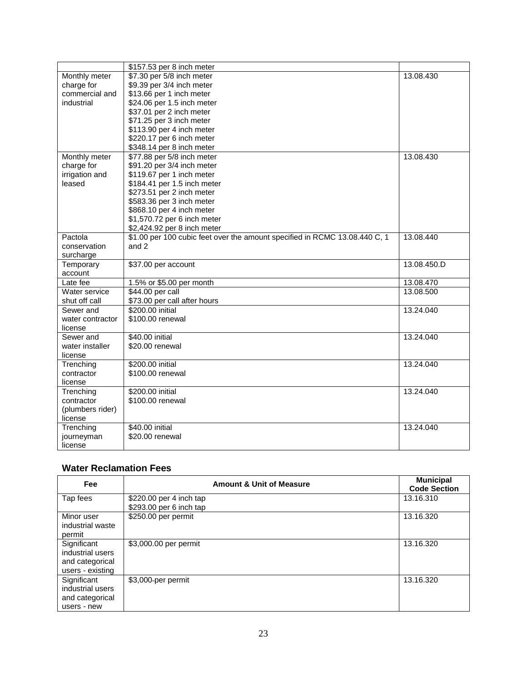|                  | \$157.53 per 8 inch meter                                                  |             |
|------------------|----------------------------------------------------------------------------|-------------|
| Monthly meter    | \$7.30 per 5/8 inch meter                                                  | 13.08.430   |
| charge for       | \$9.39 per 3/4 inch meter                                                  |             |
| commercial and   | \$13.66 per 1 inch meter                                                   |             |
| industrial       | \$24.06 per 1.5 inch meter                                                 |             |
|                  | \$37.01 per 2 inch meter                                                   |             |
|                  | \$71.25 per 3 inch meter                                                   |             |
|                  | \$113.90 per 4 inch meter                                                  |             |
|                  | \$220.17 per 6 inch meter                                                  |             |
|                  | \$348.14 per 8 inch meter                                                  |             |
| Monthly meter    | \$77.88 per 5/8 inch meter                                                 | 13.08.430   |
| charge for       | \$91.20 per 3/4 inch meter                                                 |             |
| irrigation and   | \$119.67 per 1 inch meter                                                  |             |
| leased           | \$184.41 per 1.5 inch meter                                                |             |
|                  | \$273.51 per 2 inch meter                                                  |             |
|                  | \$583.36 per 3 inch meter                                                  |             |
|                  | \$868.10 per 4 inch meter                                                  |             |
|                  | \$1,570.72 per 6 inch meter                                                |             |
|                  | \$2,424.92 per 8 inch meter                                                |             |
| Pactola          | \$1.00 per 100 cubic feet over the amount specified in RCMC 13.08.440 C, 1 | 13.08.440   |
| conservation     | and 2                                                                      |             |
| surcharge        |                                                                            |             |
| Temporary        | \$37.00 per account                                                        | 13.08.450.D |
| account          |                                                                            |             |
| Late fee         | 1.5% or \$5.00 per month                                                   | 13.08.470   |
| Water service    | \$44.00 per call                                                           | 13.08.500   |
| shut off call    | \$73.00 per call after hours                                               |             |
| Sewer and        | \$200.00 initial                                                           | 13.24.040   |
| water contractor | \$100.00 renewal                                                           |             |
| license          |                                                                            |             |
| Sewer and        | \$40.00 initial                                                            | 13.24.040   |
| water installer  | \$20.00 renewal                                                            |             |
| license          |                                                                            |             |
| Trenching        | \$200.00 initial                                                           | 13.24.040   |
| contractor       | \$100.00 renewal                                                           |             |
| license          |                                                                            |             |
| Trenching        | \$200.00 initial                                                           | 13.24.040   |
| contractor       | \$100.00 renewal                                                           |             |
| (plumbers rider) |                                                                            |             |
| license          |                                                                            |             |
| Trenching        | \$40.00 initial                                                            | 13.24.040   |
| journeyman       | \$20.00 renewal                                                            |             |
|                  |                                                                            |             |
| license          |                                                                            |             |

# **Water Reclamation Fees**

| Fee              | <b>Amount &amp; Unit of Measure</b> | <b>Municipal</b><br><b>Code Section</b> |
|------------------|-------------------------------------|-----------------------------------------|
| Tap fees         | \$220.00 per 4 inch tap             | 13.16.310                               |
|                  | \$293.00 per 6 inch tap             |                                         |
| Minor user       | \$250.00 per permit                 | 13.16.320                               |
| industrial waste |                                     |                                         |
| permit           |                                     |                                         |
| Significant      | \$3,000.00 per permit               | 13.16.320                               |
| industrial users |                                     |                                         |
| and categorical  |                                     |                                         |
| users - existing |                                     |                                         |
| Significant      | \$3,000-per permit                  | 13.16.320                               |
| industrial users |                                     |                                         |
| and categorical  |                                     |                                         |
| users - new      |                                     |                                         |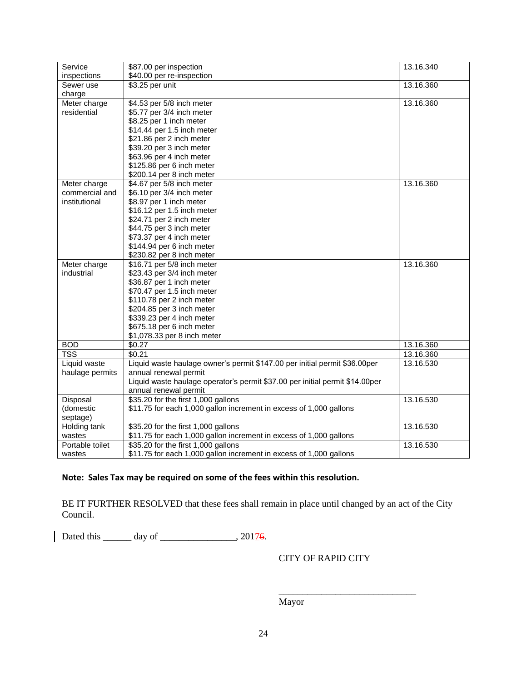| Service         | \$87.00 per inspection                                                       | 13.16.340 |
|-----------------|------------------------------------------------------------------------------|-----------|
| inspections     | \$40.00 per re-inspection                                                    |           |
| Sewer use       | \$3.25 per unit                                                              | 13.16.360 |
| charge          |                                                                              |           |
| Meter charge    | \$4.53 per 5/8 inch meter                                                    | 13.16.360 |
| residential     | \$5.77 per 3/4 inch meter                                                    |           |
|                 | \$8.25 per 1 inch meter                                                      |           |
|                 | \$14.44 per 1.5 inch meter                                                   |           |
|                 | \$21.86 per 2 inch meter                                                     |           |
|                 | \$39.20 per 3 inch meter                                                     |           |
|                 | \$63.96 per 4 inch meter                                                     |           |
|                 | \$125.86 per 6 inch meter                                                    |           |
|                 | \$200.14 per 8 inch meter                                                    |           |
| Meter charge    | \$4.67 per 5/8 inch meter                                                    | 13.16.360 |
| commercial and  | \$6.10 per 3/4 inch meter                                                    |           |
| institutional   | \$8.97 per 1 inch meter                                                      |           |
|                 | \$16.12 per 1.5 inch meter                                                   |           |
|                 | \$24.71 per 2 inch meter                                                     |           |
|                 | \$44.75 per 3 inch meter                                                     |           |
|                 | \$73.37 per 4 inch meter                                                     |           |
|                 | \$144.94 per 6 inch meter                                                    |           |
|                 | \$230.82 per 8 inch meter                                                    |           |
| Meter charge    | \$16.71 per 5/8 inch meter                                                   | 13.16.360 |
| industrial      | \$23.43 per 3/4 inch meter                                                   |           |
|                 | \$36.87 per 1 inch meter                                                     |           |
|                 | \$70.47 per 1.5 inch meter                                                   |           |
|                 | \$110.78 per 2 inch meter                                                    |           |
|                 | \$204.85 per 3 inch meter                                                    |           |
|                 | \$339.23 per 4 inch meter                                                    |           |
|                 | \$675.18 per 6 inch meter                                                    |           |
|                 | \$1,078.33 per 8 inch meter                                                  |           |
| <b>BOD</b>      | \$0.27                                                                       | 13.16.360 |
| <b>TSS</b>      | \$0.21                                                                       | 13.16.360 |
| Liquid waste    | Liquid waste haulage owner's permit \$147.00 per initial permit \$36.00per   | 13.16.530 |
| haulage permits | annual renewal permit                                                        |           |
|                 | Liquid waste haulage operator's permit \$37.00 per initial permit \$14.00per |           |
|                 | annual renewal permit                                                        |           |
| Disposal        | \$35.20 for the first 1,000 gallons                                          | 13.16.530 |
| (domestic       | \$11.75 for each 1,000 gallon increment in excess of 1,000 gallons           |           |
| septage)        |                                                                              |           |
| Holding tank    | \$35.20 for the first 1,000 gallons                                          | 13.16.530 |
| wastes          | \$11.75 for each 1,000 gallon increment in excess of 1,000 gallons           |           |
| Portable toilet | \$35.20 for the first 1,000 gallons                                          | 13.16.530 |
| wastes          | \$11.75 for each 1,000 gallon increment in excess of 1,000 gallons           |           |

### **Note: Sales Tax may be required on some of the fees within this resolution.**

BE IT FURTHER RESOLVED that these fees shall remain in place until changed by an act of the City Council.

Dated this \_\_\_\_\_\_ day of \_\_\_\_\_\_\_\_\_\_\_\_\_\_, 20176.

CITY OF RAPID CITY

\_\_\_\_\_\_\_\_\_\_\_\_\_\_\_\_\_\_\_\_\_\_\_\_\_\_\_\_\_

Mayor